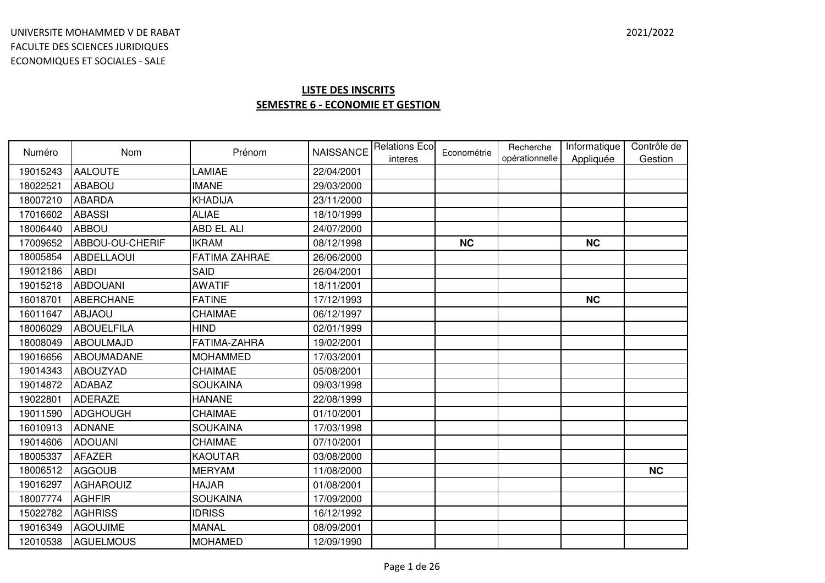| Numéro   | <b>Nom</b>        | Prénom               | <b>NAISSANCE</b> | <b>Relations Eco</b><br>interes | Econométrie | Recherche<br>opérationnelle | Informatique<br>Appliquée | Contrôle de<br>Gestion |
|----------|-------------------|----------------------|------------------|---------------------------------|-------------|-----------------------------|---------------------------|------------------------|
| 19015243 | <b>AALOUTE</b>    | LAMIAE               | 22/04/2001       |                                 |             |                             |                           |                        |
| 18022521 | <b>ABABOU</b>     | <b>IMANE</b>         | 29/03/2000       |                                 |             |                             |                           |                        |
| 18007210 | <b>ABARDA</b>     | KHADIJA              | 23/11/2000       |                                 |             |                             |                           |                        |
| 17016602 | <b>ABASSI</b>     | <b>ALIAE</b>         | 18/10/1999       |                                 |             |                             |                           |                        |
| 18006440 | <b>ABBOU</b>      | <b>ABD EL ALI</b>    | 24/07/2000       |                                 |             |                             |                           |                        |
| 17009652 | ABBOU-OU-CHERIF   | <b>IKRAM</b>         | 08/12/1998       |                                 | <b>NC</b>   |                             | <b>NC</b>                 |                        |
| 18005854 | <b>ABDELLAOUI</b> | <b>FATIMA ZAHRAE</b> | 26/06/2000       |                                 |             |                             |                           |                        |
| 19012186 | <b>ABDI</b>       | SAID                 | 26/04/2001       |                                 |             |                             |                           |                        |
| 19015218 | <b>ABDOUANI</b>   | <b>AWATIF</b>        | 18/11/2001       |                                 |             |                             |                           |                        |
| 16018701 | <b>ABERCHANE</b>  | <b>FATINE</b>        | 17/12/1993       |                                 |             |                             | <b>NC</b>                 |                        |
| 16011647 | <b>ABJAOU</b>     | CHAIMAE              | 06/12/1997       |                                 |             |                             |                           |                        |
| 18006029 | <b>ABOUELFILA</b> | <b>HIND</b>          | 02/01/1999       |                                 |             |                             |                           |                        |
| 18008049 | ABOULMAJD         | FATIMA-ZAHRA         | 19/02/2001       |                                 |             |                             |                           |                        |
| 19016656 | <b>ABOUMADANE</b> | <b>MOHAMMED</b>      | 17/03/2001       |                                 |             |                             |                           |                        |
| 19014343 | <b>ABOUZYAD</b>   | <b>CHAIMAE</b>       | 05/08/2001       |                                 |             |                             |                           |                        |
| 19014872 | <b>ADABAZ</b>     | <b>SOUKAINA</b>      | 09/03/1998       |                                 |             |                             |                           |                        |
| 19022801 | <b>ADERAZE</b>    | <b>HANANE</b>        | 22/08/1999       |                                 |             |                             |                           |                        |
| 19011590 | <b>ADGHOUGH</b>   | CHAIMAE              | 01/10/2001       |                                 |             |                             |                           |                        |
| 16010913 | <b>ADNANE</b>     | <b>SOUKAINA</b>      | 17/03/1998       |                                 |             |                             |                           |                        |
| 19014606 | <b>ADOUANI</b>    | <b>CHAIMAE</b>       | 07/10/2001       |                                 |             |                             |                           |                        |
| 18005337 | <b>AFAZER</b>     | <b>KAOUTAR</b>       | 03/08/2000       |                                 |             |                             |                           |                        |
| 18006512 | <b>AGGOUB</b>     | <b>MERYAM</b>        | 11/08/2000       |                                 |             |                             |                           | <b>NC</b>              |
| 19016297 | AGHAROUIZ         | <b>HAJAR</b>         | 01/08/2001       |                                 |             |                             |                           |                        |
| 18007774 | <b>AGHFIR</b>     | <b>SOUKAINA</b>      | 17/09/2000       |                                 |             |                             |                           |                        |
| 15022782 | <b>AGHRISS</b>    | <b>IDRISS</b>        | 16/12/1992       |                                 |             |                             |                           |                        |
| 19016349 | <b>AGOUJIME</b>   | <b>MANAL</b>         | 08/09/2001       |                                 |             |                             |                           |                        |
| 12010538 | <b>AGUELMOUS</b>  | <b>MOHAMED</b>       | 12/09/1990       |                                 |             |                             |                           |                        |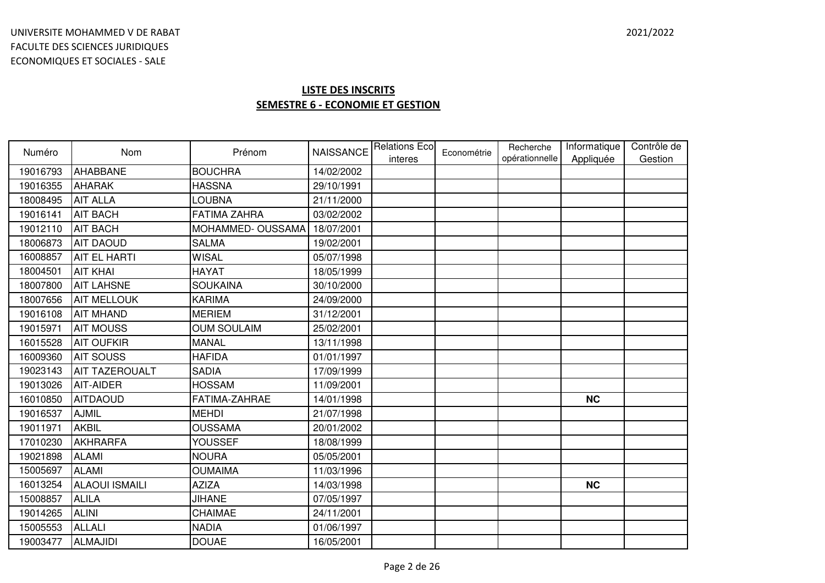| Numéro   | Nom                   | Prénom              | <b>NAISSANCE</b> | <b>Relations Eco</b><br>interes | Econométrie | Recherche<br>opérationnelle | Informatique<br>Appliquée | Contrôle de<br>Gestion |
|----------|-----------------------|---------------------|------------------|---------------------------------|-------------|-----------------------------|---------------------------|------------------------|
| 19016793 | AHABBANE              | <b>BOUCHRA</b>      | 14/02/2002       |                                 |             |                             |                           |                        |
| 19016355 | <b>AHARAK</b>         | <b>HASSNA</b>       | 29/10/1991       |                                 |             |                             |                           |                        |
| 18008495 | <b>AIT ALLA</b>       | <b>LOUBNA</b>       | 21/11/2000       |                                 |             |                             |                           |                        |
| 19016141 | <b>AIT BACH</b>       | <b>FATIMA ZAHRA</b> | 03/02/2002       |                                 |             |                             |                           |                        |
| 19012110 | <b>AIT BACH</b>       | MOHAMMED-OUSSAMA    | 18/07/2001       |                                 |             |                             |                           |                        |
| 18006873 | <b>AIT DAOUD</b>      | <b>SALMA</b>        | 19/02/2001       |                                 |             |                             |                           |                        |
| 16008857 | <b>AIT EL HARTI</b>   | <b>WISAL</b>        | 05/07/1998       |                                 |             |                             |                           |                        |
| 18004501 | <b>AIT KHAI</b>       | <b>HAYAT</b>        | 18/05/1999       |                                 |             |                             |                           |                        |
| 18007800 | <b>AIT LAHSNE</b>     | <b>SOUKAINA</b>     | 30/10/2000       |                                 |             |                             |                           |                        |
| 18007656 | <b>AIT MELLOUK</b>    | <b>KARIMA</b>       | 24/09/2000       |                                 |             |                             |                           |                        |
| 19016108 | <b>AIT MHAND</b>      | <b>MERIEM</b>       | 31/12/2001       |                                 |             |                             |                           |                        |
| 19015971 | <b>AIT MOUSS</b>      | <b>OUM SOULAIM</b>  | 25/02/2001       |                                 |             |                             |                           |                        |
| 16015528 | <b>AIT OUFKIR</b>     | <b>MANAL</b>        | 13/11/1998       |                                 |             |                             |                           |                        |
| 16009360 | <b>AIT SOUSS</b>      | <b>HAFIDA</b>       | 01/01/1997       |                                 |             |                             |                           |                        |
| 19023143 | <b>AIT TAZEROUALT</b> | <b>SADIA</b>        | 17/09/1999       |                                 |             |                             |                           |                        |
| 19013026 | <b>AIT-AIDER</b>      | <b>HOSSAM</b>       | 11/09/2001       |                                 |             |                             |                           |                        |
| 16010850 | <b>AITDAOUD</b>       | FATIMA-ZAHRAE       | 14/01/1998       |                                 |             |                             | <b>NC</b>                 |                        |
| 19016537 | <b>AJMIL</b>          | <b>MEHDI</b>        | 21/07/1998       |                                 |             |                             |                           |                        |
| 19011971 | <b>AKBIL</b>          | <b>OUSSAMA</b>      | 20/01/2002       |                                 |             |                             |                           |                        |
| 17010230 | <b>AKHRARFA</b>       | YOUSSEF             | 18/08/1999       |                                 |             |                             |                           |                        |
| 19021898 | <b>ALAMI</b>          | <b>NOURA</b>        | 05/05/2001       |                                 |             |                             |                           |                        |
| 15005697 | <b>ALAMI</b>          | <b>OUMAIMA</b>      | 11/03/1996       |                                 |             |                             |                           |                        |
| 16013254 | <b>ALAOUI ISMAILI</b> | <b>AZIZA</b>        | 14/03/1998       |                                 |             |                             | <b>NC</b>                 |                        |
| 15008857 | <b>ALILA</b>          | <b>JIHANE</b>       | 07/05/1997       |                                 |             |                             |                           |                        |
| 19014265 | <b>ALINI</b>          | CHAIMAE             | 24/11/2001       |                                 |             |                             |                           |                        |
| 15005553 | <b>ALLALI</b>         | <b>NADIA</b>        | 01/06/1997       |                                 |             |                             |                           |                        |
| 19003477 | <b>ALMAJIDI</b>       | <b>DOUAE</b>        | 16/05/2001       |                                 |             |                             |                           |                        |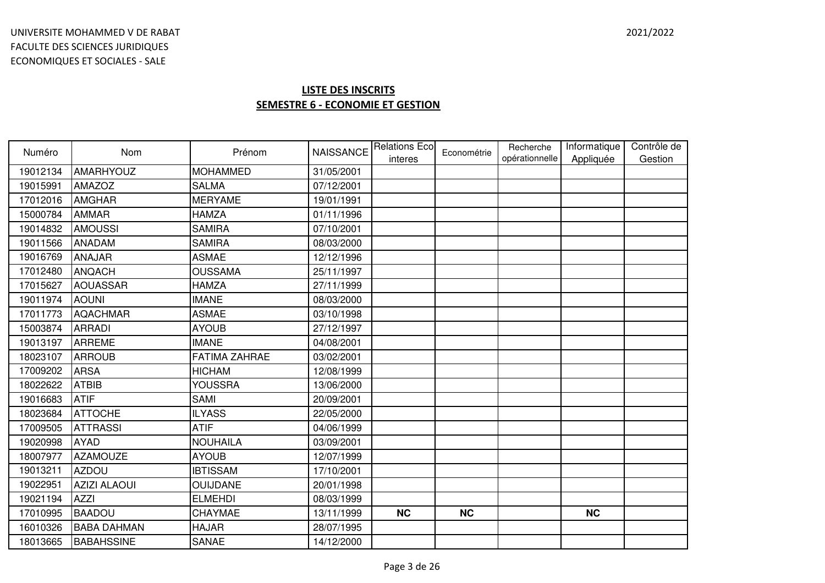| Numéro   | <b>Nom</b>          | Prénom               | <b>NAISSANCE</b> | <b>Relations Eco</b><br>interes | Econométrie | Recherche<br>opérationnelle | Informatique<br>Appliquée | Contrôle de<br>Gestion |
|----------|---------------------|----------------------|------------------|---------------------------------|-------------|-----------------------------|---------------------------|------------------------|
| 19012134 | AMARHYOUZ           | <b>MOHAMMED</b>      | 31/05/2001       |                                 |             |                             |                           |                        |
| 19015991 | <b>AMAZOZ</b>       | <b>SALMA</b>         | 07/12/2001       |                                 |             |                             |                           |                        |
| 17012016 | <b>AMGHAR</b>       | <b>MERYAME</b>       | 19/01/1991       |                                 |             |                             |                           |                        |
| 15000784 | <b>AMMAR</b>        | <b>HAMZA</b>         | 01/11/1996       |                                 |             |                             |                           |                        |
| 19014832 | <b>AMOUSSI</b>      | <b>SAMIRA</b>        | 07/10/2001       |                                 |             |                             |                           |                        |
| 19011566 | <b>ANADAM</b>       | <b>SAMIRA</b>        | 08/03/2000       |                                 |             |                             |                           |                        |
| 19016769 | <b>ANAJAR</b>       | <b>ASMAE</b>         | 12/12/1996       |                                 |             |                             |                           |                        |
| 17012480 | <b>ANQACH</b>       | <b>OUSSAMA</b>       | 25/11/1997       |                                 |             |                             |                           |                        |
| 17015627 | <b>AOUASSAR</b>     | <b>HAMZA</b>         | 27/11/1999       |                                 |             |                             |                           |                        |
| 19011974 | <b>AOUNI</b>        | <b>IMANE</b>         | 08/03/2000       |                                 |             |                             |                           |                        |
| 17011773 | <b>AQACHMAR</b>     | <b>ASMAE</b>         | 03/10/1998       |                                 |             |                             |                           |                        |
| 15003874 | <b>ARRADI</b>       | <b>AYOUB</b>         | 27/12/1997       |                                 |             |                             |                           |                        |
| 19013197 | <b>ARREME</b>       | <b>IMANE</b>         | 04/08/2001       |                                 |             |                             |                           |                        |
| 18023107 | <b>ARROUB</b>       | <b>FATIMA ZAHRAE</b> | 03/02/2001       |                                 |             |                             |                           |                        |
| 17009202 | <b>ARSA</b>         | <b>HICHAM</b>        | 12/08/1999       |                                 |             |                             |                           |                        |
| 18022622 | <b>ATBIB</b>        | YOUSSRA              | 13/06/2000       |                                 |             |                             |                           |                        |
| 19016683 | <b>ATIF</b>         | <b>SAMI</b>          | 20/09/2001       |                                 |             |                             |                           |                        |
| 18023684 | <b>ATTOCHE</b>      | <b>ILYASS</b>        | 22/05/2000       |                                 |             |                             |                           |                        |
| 17009505 | <b>ATTRASSI</b>     | <b>ATIF</b>          | 04/06/1999       |                                 |             |                             |                           |                        |
| 19020998 | <b>AYAD</b>         | <b>NOUHAILA</b>      | 03/09/2001       |                                 |             |                             |                           |                        |
| 18007977 | <b>AZAMOUZE</b>     | <b>AYOUB</b>         | 12/07/1999       |                                 |             |                             |                           |                        |
| 19013211 | <b>AZDOU</b>        | <b>IBTISSAM</b>      | 17/10/2001       |                                 |             |                             |                           |                        |
| 19022951 | <b>AZIZI ALAOUI</b> | <b>OUIJDANE</b>      | 20/01/1998       |                                 |             |                             |                           |                        |
| 19021194 | <b>AZZI</b>         | <b>ELMEHDI</b>       | 08/03/1999       |                                 |             |                             |                           |                        |
| 17010995 | <b>BAADOU</b>       | CHAYMAE              | 13/11/1999       | <b>NC</b>                       | <b>NC</b>   |                             | <b>NC</b>                 |                        |
| 16010326 | <b>BABA DAHMAN</b>  | <b>HAJAR</b>         | 28/07/1995       |                                 |             |                             |                           |                        |
| 18013665 | <b>BABAHSSINE</b>   | <b>SANAE</b>         | 14/12/2000       |                                 |             |                             |                           |                        |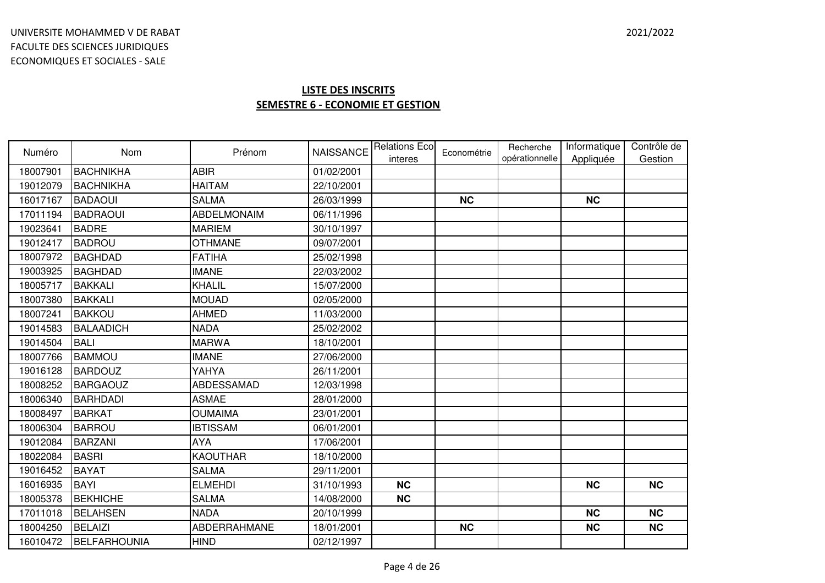| Numéro   | <b>Nom</b>       | Prénom             | <b>NAISSANCE</b> | <b>Relations Ecol</b><br>interes | Econométrie | Recherche<br>opérationnelle | Informatique<br>Appliquée | Contrôle de<br>Gestion |
|----------|------------------|--------------------|------------------|----------------------------------|-------------|-----------------------------|---------------------------|------------------------|
| 18007901 | BACHNIKHA        | <b>ABIR</b>        | 01/02/2001       |                                  |             |                             |                           |                        |
| 19012079 | <b>BACHNIKHA</b> | <b>HAITAM</b>      | 22/10/2001       |                                  |             |                             |                           |                        |
| 16017167 | <b>BADAOUI</b>   | <b>SALMA</b>       | 26/03/1999       |                                  | <b>NC</b>   |                             | <b>NC</b>                 |                        |
| 17011194 | <b>BADRAOUI</b>  | <b>ABDELMONAIM</b> | 06/11/1996       |                                  |             |                             |                           |                        |
| 19023641 | <b>BADRE</b>     | <b>MARIEM</b>      | 30/10/1997       |                                  |             |                             |                           |                        |
| 19012417 | <b>BADROU</b>    | <b>OTHMANE</b>     | 09/07/2001       |                                  |             |                             |                           |                        |
| 18007972 | <b>BAGHDAD</b>   | <b>FATIHA</b>      | 25/02/1998       |                                  |             |                             |                           |                        |
| 19003925 | <b>BAGHDAD</b>   | <b>IMANE</b>       | 22/03/2002       |                                  |             |                             |                           |                        |
| 18005717 | <b>BAKKALI</b>   | <b>KHALIL</b>      | 15/07/2000       |                                  |             |                             |                           |                        |
| 18007380 | <b>BAKKALI</b>   | <b>MOUAD</b>       | 02/05/2000       |                                  |             |                             |                           |                        |
| 18007241 | <b>BAKKOU</b>    | <b>AHMED</b>       | 11/03/2000       |                                  |             |                             |                           |                        |
| 19014583 | <b>BALAADICH</b> | <b>NADA</b>        | 25/02/2002       |                                  |             |                             |                           |                        |
| 19014504 | <b>BALI</b>      | <b>MARWA</b>       | 18/10/2001       |                                  |             |                             |                           |                        |
| 18007766 | <b>BAMMOU</b>    | <b>IMANE</b>       | 27/06/2000       |                                  |             |                             |                           |                        |
| 19016128 | <b>BARDOUZ</b>   | YAHYA              | 26/11/2001       |                                  |             |                             |                           |                        |
| 18008252 | <b>BARGAOUZ</b>  | <b>ABDESSAMAD</b>  | 12/03/1998       |                                  |             |                             |                           |                        |
| 18006340 | <b>BARHDADI</b>  | <b>ASMAE</b>       | 28/01/2000       |                                  |             |                             |                           |                        |
| 18008497 | <b>BARKAT</b>    | <b>OUMAIMA</b>     | 23/01/2001       |                                  |             |                             |                           |                        |
| 18006304 | <b>BARROU</b>    | <b>IBTISSAM</b>    | 06/01/2001       |                                  |             |                             |                           |                        |
| 19012084 | <b>BARZANI</b>   | <b>AYA</b>         | 17/06/2001       |                                  |             |                             |                           |                        |
| 18022084 | <b>BASRI</b>     | <b>KAOUTHAR</b>    | 18/10/2000       |                                  |             |                             |                           |                        |
| 19016452 | <b>BAYAT</b>     | <b>SALMA</b>       | 29/11/2001       |                                  |             |                             |                           |                        |
| 16016935 | <b>BAYI</b>      | <b>ELMEHDI</b>     | 31/10/1993       | <b>NC</b>                        |             |                             | <b>NC</b>                 | <b>NC</b>              |
| 18005378 | <b>BEKHICHE</b>  | <b>SALMA</b>       | 14/08/2000       | <b>NC</b>                        |             |                             |                           |                        |
| 17011018 | <b>BELAHSEN</b>  | <b>NADA</b>        | 20/10/1999       |                                  |             |                             | <b>NC</b>                 | <b>NC</b>              |
| 18004250 | <b>BELAIZI</b>   | ABDERRAHMANE       | 18/01/2001       |                                  | <b>NC</b>   |                             | <b>NC</b>                 | <b>NC</b>              |
| 16010472 | BELFARHOUNIA     | <b>HIND</b>        | 02/12/1997       |                                  |             |                             |                           |                        |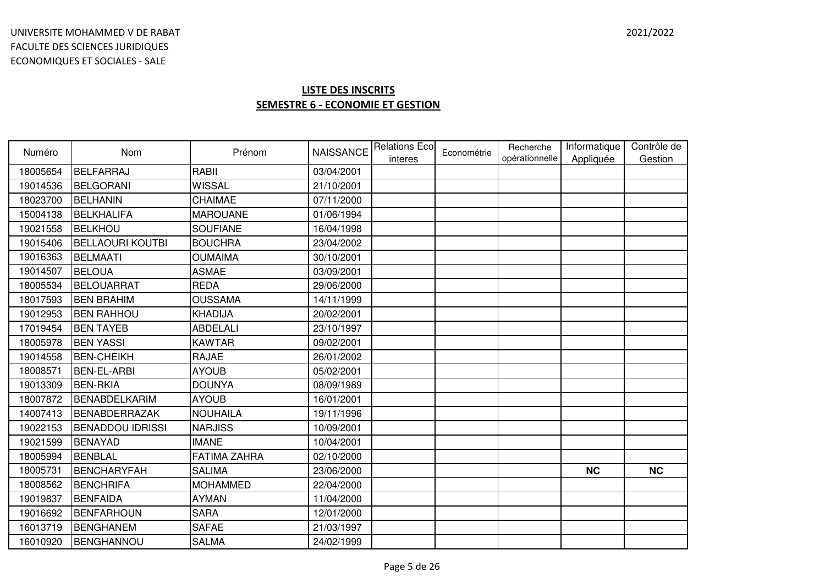| Numéro   | Nom                     | Prénom          | <b>NAISSANCE</b> | <b>Relations Ecol</b><br>interes | Econométrie | Recherche<br>opérationnelle | Informatique<br>Appliquée | Contrôle de<br>Gestion |
|----------|-------------------------|-----------------|------------------|----------------------------------|-------------|-----------------------------|---------------------------|------------------------|
| 18005654 | <b>BELFARRAJ</b>        | <b>RABII</b>    | 03/04/2001       |                                  |             |                             |                           |                        |
| 19014536 | <b>BELGORANI</b>        | <b>WISSAL</b>   | 21/10/2001       |                                  |             |                             |                           |                        |
| 18023700 | <b>BELHANIN</b>         | CHAIMAE         | 07/11/2000       |                                  |             |                             |                           |                        |
| 15004138 | <b>BELKHALIFA</b>       | <b>MAROUANE</b> | 01/06/1994       |                                  |             |                             |                           |                        |
| 19021558 | <b>BELKHOU</b>          | <b>SOUFIANE</b> | 16/04/1998       |                                  |             |                             |                           |                        |
| 19015406 | <b>BELLAOURI KOUTBI</b> | <b>BOUCHRA</b>  | 23/04/2002       |                                  |             |                             |                           |                        |
| 19016363 | <b>BELMAATI</b>         | <b>OUMAIMA</b>  | 30/10/2001       |                                  |             |                             |                           |                        |
| 19014507 | <b>BELOUA</b>           | <b>ASMAE</b>    | 03/09/2001       |                                  |             |                             |                           |                        |
| 18005534 | BELOUARRAT              | <b>REDA</b>     | 29/06/2000       |                                  |             |                             |                           |                        |
| 18017593 | <b>BEN BRAHIM</b>       | <b>OUSSAMA</b>  | 14/11/1999       |                                  |             |                             |                           |                        |
| 19012953 | <b>BEN RAHHOU</b>       | <b>KHADIJA</b>  | 20/02/2001       |                                  |             |                             |                           |                        |
| 17019454 | <b>BEN TAYEB</b>        | <b>ABDELALI</b> | 23/10/1997       |                                  |             |                             |                           |                        |
| 18005978 | <b>BEN YASSI</b>        | <b>KAWTAR</b>   | 09/02/2001       |                                  |             |                             |                           |                        |
| 19014558 | <b>BEN-CHEIKH</b>       | <b>RAJAE</b>    | 26/01/2002       |                                  |             |                             |                           |                        |
| 18008571 | <b>BEN-EL-ARBI</b>      | <b>AYOUB</b>    | 05/02/2001       |                                  |             |                             |                           |                        |
| 19013309 | <b>BEN-RKIA</b>         | <b>DOUNYA</b>   | 08/09/1989       |                                  |             |                             |                           |                        |
| 18007872 | <b>BENABDELKARIM</b>    | <b>AYOUB</b>    | 16/01/2001       |                                  |             |                             |                           |                        |
| 14007413 | BENABDERRAZAK           | <b>NOUHAILA</b> | 19/11/1996       |                                  |             |                             |                           |                        |
| 19022153 | <b>BENADDOU IDRISSI</b> | <b>NARJISS</b>  | 10/09/2001       |                                  |             |                             |                           |                        |
| 19021599 | <b>BENAYAD</b>          | <b>IMANE</b>    | 10/04/2001       |                                  |             |                             |                           |                        |
| 18005994 | <b>BENBLAL</b>          | FATIMA ZAHRA    | 02/10/2000       |                                  |             |                             |                           |                        |
| 18005731 | <b>BENCHARYFAH</b>      | <b>SALIMA</b>   | 23/06/2000       |                                  |             |                             | <b>NC</b>                 | <b>NC</b>              |
| 18008562 | <b>BENCHRIFA</b>        | <b>MOHAMMED</b> | 22/04/2000       |                                  |             |                             |                           |                        |
| 19019837 | <b>BENFAIDA</b>         | <b>AYMAN</b>    | 11/04/2000       |                                  |             |                             |                           |                        |
| 19016692 | <b>BENFARHOUN</b>       | <b>SARA</b>     | 12/01/2000       |                                  |             |                             |                           |                        |
| 16013719 | <b>BENGHANEM</b>        | <b>SAFAE</b>    | 21/03/1997       |                                  |             |                             |                           |                        |
| 16010920 | <b>BENGHANNOU</b>       | <b>SALMA</b>    | 24/02/1999       |                                  |             |                             |                           |                        |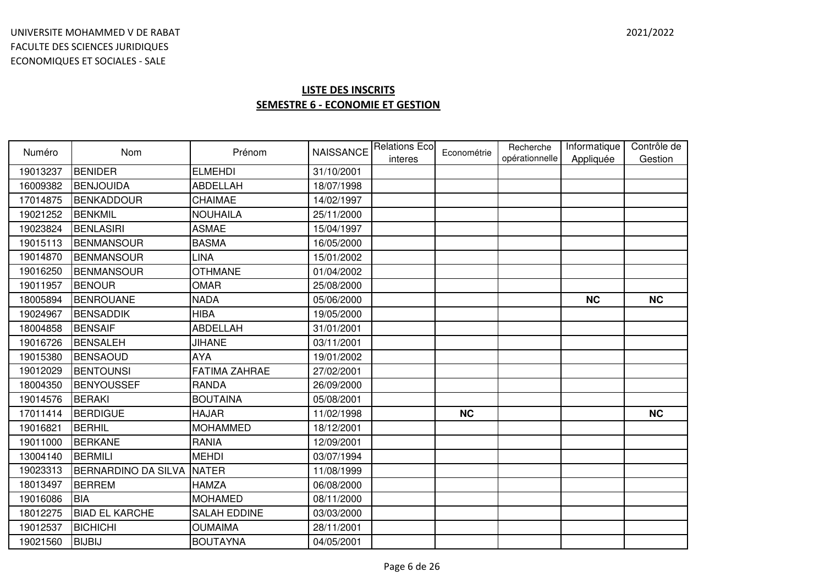| Numéro   | Nom                   | Prénom               | <b>NAISSANCE</b> | <b>Relations Eco</b> | Econométrie | Recherche<br>opérationnelle | Informatique<br>Appliquée | Contrôle de<br>Gestion |
|----------|-----------------------|----------------------|------------------|----------------------|-------------|-----------------------------|---------------------------|------------------------|
| 19013237 | <b>BENIDER</b>        | <b>ELMEHDI</b>       | 31/10/2001       | interes              |             |                             |                           |                        |
| 16009382 | <b>BENJOUIDA</b>      | <b>ABDELLAH</b>      | 18/07/1998       |                      |             |                             |                           |                        |
| 17014875 | <b>BENKADDOUR</b>     | CHAIMAE              | 14/02/1997       |                      |             |                             |                           |                        |
| 19021252 | <b>BENKMIL</b>        | <b>NOUHAILA</b>      | 25/11/2000       |                      |             |                             |                           |                        |
| 19023824 | <b>BENLASIRI</b>      | <b>ASMAE</b>         | 15/04/1997       |                      |             |                             |                           |                        |
| 19015113 | <b>BENMANSOUR</b>     | <b>BASMA</b>         | 16/05/2000       |                      |             |                             |                           |                        |
| 19014870 | <b>BENMANSOUR</b>     | <b>LINA</b>          | 15/01/2002       |                      |             |                             |                           |                        |
| 19016250 | <b>BENMANSOUR</b>     | <b>OTHMANE</b>       | 01/04/2002       |                      |             |                             |                           |                        |
| 19011957 | <b>BENOUR</b>         | <b>OMAR</b>          | 25/08/2000       |                      |             |                             |                           |                        |
| 18005894 | <b>BENROUANE</b>      | <b>NADA</b>          | 05/06/2000       |                      |             |                             | <b>NC</b>                 | <b>NC</b>              |
| 19024967 | <b>BENSADDIK</b>      | <b>HIBA</b>          | 19/05/2000       |                      |             |                             |                           |                        |
| 18004858 | <b>BENSAIF</b>        | <b>ABDELLAH</b>      | 31/01/2001       |                      |             |                             |                           |                        |
| 19016726 | <b>BENSALEH</b>       | <b>JIHANE</b>        | 03/11/2001       |                      |             |                             |                           |                        |
| 19015380 | <b>BENSAOUD</b>       | <b>AYA</b>           | 19/01/2002       |                      |             |                             |                           |                        |
| 19012029 | <b>BENTOUNSI</b>      | <b>FATIMA ZAHRAE</b> | 27/02/2001       |                      |             |                             |                           |                        |
| 18004350 | <b>BENYOUSSEF</b>     | <b>RANDA</b>         | 26/09/2000       |                      |             |                             |                           |                        |
| 19014576 | <b>BERAKI</b>         | <b>BOUTAINA</b>      | 05/08/2001       |                      |             |                             |                           |                        |
| 17011414 | <b>BERDIGUE</b>       | <b>HAJAR</b>         | 11/02/1998       |                      | <b>NC</b>   |                             |                           | <b>NC</b>              |
| 19016821 | <b>BERHIL</b>         | <b>MOHAMMED</b>      | 18/12/2001       |                      |             |                             |                           |                        |
| 19011000 | <b>BERKANE</b>        | <b>RANIA</b>         | 12/09/2001       |                      |             |                             |                           |                        |
| 13004140 | <b>BERMILI</b>        | <b>MEHDI</b>         | 03/07/1994       |                      |             |                             |                           |                        |
| 19023313 | BERNARDINO DA SILVA   | <b>NATER</b>         | 11/08/1999       |                      |             |                             |                           |                        |
| 18013497 | <b>BERREM</b>         | <b>HAMZA</b>         | 06/08/2000       |                      |             |                             |                           |                        |
| 19016086 | <b>BIA</b>            | <b>MOHAMED</b>       | 08/11/2000       |                      |             |                             |                           |                        |
| 18012275 | <b>BIAD EL KARCHE</b> | <b>SALAH EDDINE</b>  | 03/03/2000       |                      |             |                             |                           |                        |
| 19012537 | <b>BICHICHI</b>       | <b>OUMAIMA</b>       | 28/11/2001       |                      |             |                             |                           |                        |
| 19021560 | <b>BIJBIJ</b>         | <b>BOUTAYNA</b>      | 04/05/2001       |                      |             |                             |                           |                        |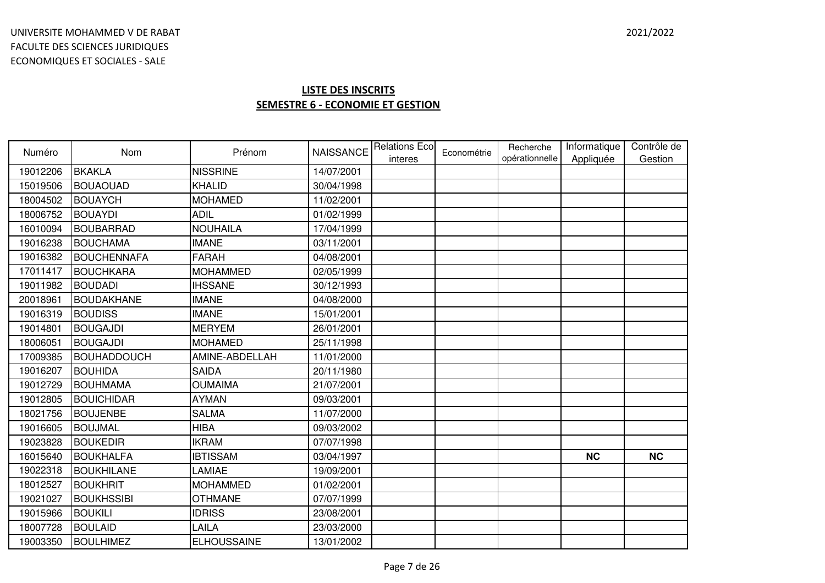| Numéro   | <b>Nom</b>         | Prénom             | <b>NAISSANCE</b> | <b>Relations Eco</b><br>interes | Econométrie | Recherche<br>opérationnelle | Informatique<br>Appliquée | Contrôle de<br>Gestion |
|----------|--------------------|--------------------|------------------|---------------------------------|-------------|-----------------------------|---------------------------|------------------------|
| 19012206 | <b>BKAKLA</b>      | <b>NISSRINE</b>    | 14/07/2001       |                                 |             |                             |                           |                        |
| 15019506 | <b>BOUAOUAD</b>    | <b>KHALID</b>      | 30/04/1998       |                                 |             |                             |                           |                        |
| 18004502 | <b>BOUAYCH</b>     | <b>MOHAMED</b>     | 11/02/2001       |                                 |             |                             |                           |                        |
| 18006752 | <b>BOUAYDI</b>     | <b>ADIL</b>        | 01/02/1999       |                                 |             |                             |                           |                        |
| 16010094 | <b>BOUBARRAD</b>   | <b>NOUHAILA</b>    | 17/04/1999       |                                 |             |                             |                           |                        |
| 19016238 | <b>BOUCHAMA</b>    | <b>IMANE</b>       | 03/11/2001       |                                 |             |                             |                           |                        |
| 19016382 | <b>BOUCHENNAFA</b> | <b>FARAH</b>       | 04/08/2001       |                                 |             |                             |                           |                        |
| 17011417 | <b>BOUCHKARA</b>   | <b>MOHAMMED</b>    | 02/05/1999       |                                 |             |                             |                           |                        |
| 19011982 | <b>BOUDADI</b>     | <b>IHSSANE</b>     | 30/12/1993       |                                 |             |                             |                           |                        |
| 20018961 | <b>BOUDAKHANE</b>  | <b>IMANE</b>       | 04/08/2000       |                                 |             |                             |                           |                        |
| 19016319 | <b>BOUDISS</b>     | <b>IMANE</b>       | 15/01/2001       |                                 |             |                             |                           |                        |
| 19014801 | <b>BOUGAJDI</b>    | <b>MERYEM</b>      | 26/01/2001       |                                 |             |                             |                           |                        |
| 18006051 | <b>BOUGAJDI</b>    | <b>MOHAMED</b>     | 25/11/1998       |                                 |             |                             |                           |                        |
| 17009385 | <b>BOUHADDOUCH</b> | AMINE-ABDELLAH     | 11/01/2000       |                                 |             |                             |                           |                        |
| 19016207 | <b>BOUHIDA</b>     | <b>SAIDA</b>       | 20/11/1980       |                                 |             |                             |                           |                        |
| 19012729 | <b>BOUHMAMA</b>    | <b>OUMAIMA</b>     | 21/07/2001       |                                 |             |                             |                           |                        |
| 19012805 | <b>BOUICHIDAR</b>  | <b>AYMAN</b>       | 09/03/2001       |                                 |             |                             |                           |                        |
| 18021756 | <b>BOUJENBE</b>    | <b>SALMA</b>       | 11/07/2000       |                                 |             |                             |                           |                        |
| 19016605 | <b>BOUJMAL</b>     | <b>HIBA</b>        | 09/03/2002       |                                 |             |                             |                           |                        |
| 19023828 | <b>BOUKEDIR</b>    | <b>IKRAM</b>       | 07/07/1998       |                                 |             |                             |                           |                        |
| 16015640 | <b>BOUKHALFA</b>   | <b>IBTISSAM</b>    | 03/04/1997       |                                 |             |                             | <b>NC</b>                 | <b>NC</b>              |
| 19022318 | <b>BOUKHILANE</b>  | LAMIAE             | 19/09/2001       |                                 |             |                             |                           |                        |
| 18012527 | <b>BOUKHRIT</b>    | <b>MOHAMMED</b>    | 01/02/2001       |                                 |             |                             |                           |                        |
| 19021027 | <b>BOUKHSSIBI</b>  | <b>OTHMANE</b>     | 07/07/1999       |                                 |             |                             |                           |                        |
| 19015966 | <b>BOUKILI</b>     | <b>IDRISS</b>      | 23/08/2001       |                                 |             |                             |                           |                        |
| 18007728 | <b>BOULAID</b>     | LAILA              | 23/03/2000       |                                 |             |                             |                           |                        |
| 19003350 | <b>BOULHIMEZ</b>   | <b>ELHOUSSAINE</b> | 13/01/2002       |                                 |             |                             |                           |                        |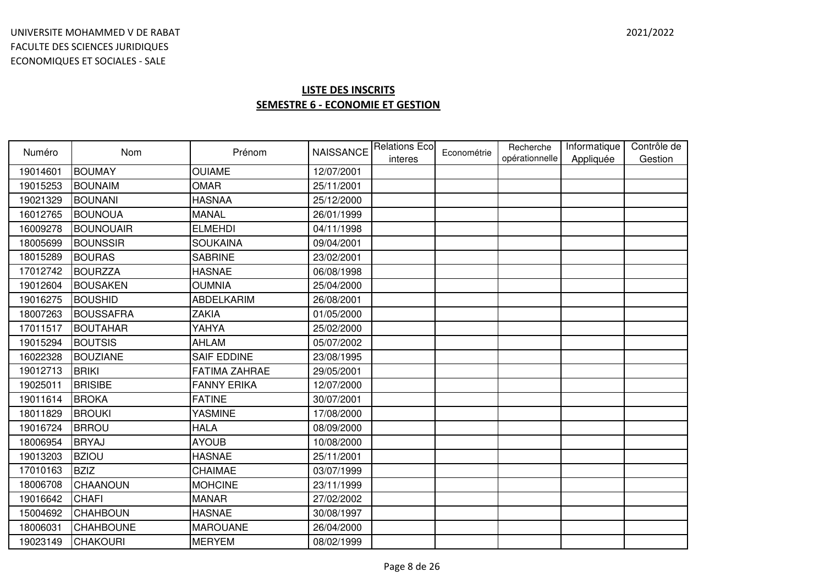| Numéro   | Nom              | Prénom               | <b>NAISSANCE</b> | <b>Relations Eco</b> | Econométrie | Recherche<br>opérationnelle | Informatique | Contrôle de |
|----------|------------------|----------------------|------------------|----------------------|-------------|-----------------------------|--------------|-------------|
| 19014601 | <b>BOUMAY</b>    | <b>OUIAME</b>        | 12/07/2001       | interes              |             |                             | Appliquée    | Gestion     |
| 19015253 | <b>BOUNAIM</b>   | <b>OMAR</b>          | 25/11/2001       |                      |             |                             |              |             |
| 19021329 | <b>BOUNANI</b>   | <b>HASNAA</b>        | 25/12/2000       |                      |             |                             |              |             |
| 16012765 | <b>BOUNOUA</b>   | <b>MANAL</b>         | 26/01/1999       |                      |             |                             |              |             |
| 16009278 | <b>BOUNOUAIR</b> | <b>ELMEHDI</b>       | 04/11/1998       |                      |             |                             |              |             |
| 18005699 | <b>BOUNSSIR</b>  | <b>SOUKAINA</b>      | 09/04/2001       |                      |             |                             |              |             |
| 18015289 | <b>BOURAS</b>    | <b>SABRINE</b>       | 23/02/2001       |                      |             |                             |              |             |
| 17012742 | <b>BOURZZA</b>   | <b>HASNAE</b>        | 06/08/1998       |                      |             |                             |              |             |
| 19012604 | <b>BOUSAKEN</b>  | <b>OUMNIA</b>        | 25/04/2000       |                      |             |                             |              |             |
| 19016275 | <b>BOUSHID</b>   | <b>ABDELKARIM</b>    | 26/08/2001       |                      |             |                             |              |             |
| 18007263 | <b>BOUSSAFRA</b> | <b>ZAKIA</b>         | 01/05/2000       |                      |             |                             |              |             |
| 17011517 | <b>BOUTAHAR</b>  | YAHYA                | 25/02/2000       |                      |             |                             |              |             |
| 19015294 | <b>BOUTSIS</b>   | <b>AHLAM</b>         | 05/07/2002       |                      |             |                             |              |             |
| 16022328 | <b>BOUZIANE</b>  | <b>SAIF EDDINE</b>   | 23/08/1995       |                      |             |                             |              |             |
| 19012713 | <b>BRIKI</b>     | <b>FATIMA ZAHRAE</b> | 29/05/2001       |                      |             |                             |              |             |
| 19025011 | <b>BRISIBE</b>   | <b>FANNY ERIKA</b>   | 12/07/2000       |                      |             |                             |              |             |
| 19011614 | <b>BROKA</b>     | <b>FATINE</b>        | 30/07/2001       |                      |             |                             |              |             |
| 18011829 | <b>BROUKI</b>    | <b>YASMINE</b>       | 17/08/2000       |                      |             |                             |              |             |
| 19016724 | <b>BRROU</b>     | <b>HALA</b>          | 08/09/2000       |                      |             |                             |              |             |
| 18006954 | <b>BRYAJ</b>     | <b>AYOUB</b>         | 10/08/2000       |                      |             |                             |              |             |
| 19013203 | <b>BZIOU</b>     | <b>HASNAE</b>        | 25/11/2001       |                      |             |                             |              |             |
| 17010163 | <b>BZIZ</b>      | CHAIMAE              | 03/07/1999       |                      |             |                             |              |             |
| 18006708 | <b>CHAANOUN</b>  | <b>MOHCINE</b>       | 23/11/1999       |                      |             |                             |              |             |
| 19016642 | <b>CHAFI</b>     | <b>MANAR</b>         | 27/02/2002       |                      |             |                             |              |             |
| 15004692 | <b>CHAHBOUN</b>  | <b>HASNAE</b>        | 30/08/1997       |                      |             |                             |              |             |
| 18006031 | <b>CHAHBOUNE</b> | <b>MAROUANE</b>      | 26/04/2000       |                      |             |                             |              |             |
| 19023149 | <b>CHAKOURI</b>  | <b>MERYEM</b>        | 08/02/1999       |                      |             |                             |              |             |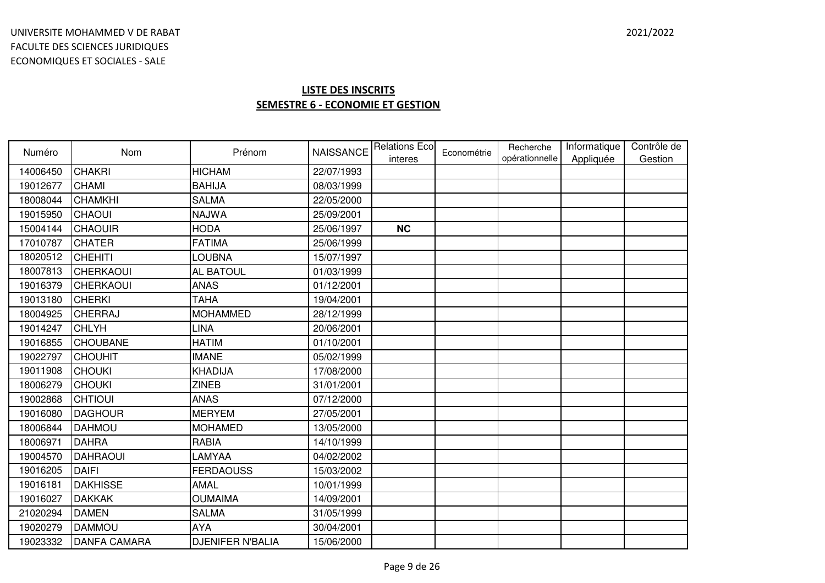| Numéro   | <b>Nom</b>          | Prénom                  | <b>NAISSANCE</b> | <b>Relations Eco</b><br>interes | Econométrie | Recherche<br>opérationnelle | Informatique<br>Appliquée | Contrôle de<br>Gestion |
|----------|---------------------|-------------------------|------------------|---------------------------------|-------------|-----------------------------|---------------------------|------------------------|
| 14006450 | <b>CHAKRI</b>       | <b>HICHAM</b>           | 22/07/1993       |                                 |             |                             |                           |                        |
| 19012677 | <b>CHAMI</b>        | <b>BAHIJA</b>           | 08/03/1999       |                                 |             |                             |                           |                        |
| 18008044 | <b>CHAMKHI</b>      | <b>SALMA</b>            | 22/05/2000       |                                 |             |                             |                           |                        |
| 19015950 | <b>CHAOUI</b>       | <b>NAJWA</b>            | 25/09/2001       |                                 |             |                             |                           |                        |
| 15004144 | <b>CHAOUIR</b>      | <b>HODA</b>             | 25/06/1997       | <b>NC</b>                       |             |                             |                           |                        |
| 17010787 | <b>CHATER</b>       | <b>FATIMA</b>           | 25/06/1999       |                                 |             |                             |                           |                        |
| 18020512 | <b>CHEHITI</b>      | LOUBNA                  | 15/07/1997       |                                 |             |                             |                           |                        |
| 18007813 | <b>CHERKAOUI</b>    | AL BATOUL               | 01/03/1999       |                                 |             |                             |                           |                        |
| 19016379 | <b>CHERKAOUI</b>    | <b>ANAS</b>             | 01/12/2001       |                                 |             |                             |                           |                        |
| 19013180 | <b>CHERKI</b>       | <b>TAHA</b>             | 19/04/2001       |                                 |             |                             |                           |                        |
| 18004925 | <b>CHERRAJ</b>      | <b>MOHAMMED</b>         | 28/12/1999       |                                 |             |                             |                           |                        |
| 19014247 | <b>CHLYH</b>        | LINA                    | 20/06/2001       |                                 |             |                             |                           |                        |
| 19016855 | <b>CHOUBANE</b>     | <b>HATIM</b>            | 01/10/2001       |                                 |             |                             |                           |                        |
| 19022797 | <b>CHOUHIT</b>      | <b>IMANE</b>            | 05/02/1999       |                                 |             |                             |                           |                        |
| 19011908 | <b>CHOUKI</b>       | KHADIJA                 | 17/08/2000       |                                 |             |                             |                           |                        |
| 18006279 | <b>CHOUKI</b>       | <b>ZINEB</b>            | 31/01/2001       |                                 |             |                             |                           |                        |
| 19002868 | <b>CHTIOUI</b>      | <b>ANAS</b>             | 07/12/2000       |                                 |             |                             |                           |                        |
| 19016080 | <b>DAGHOUR</b>      | <b>MERYEM</b>           | 27/05/2001       |                                 |             |                             |                           |                        |
| 18006844 | <b>DAHMOU</b>       | <b>MOHAMED</b>          | 13/05/2000       |                                 |             |                             |                           |                        |
| 18006971 | <b>DAHRA</b>        | <b>RABIA</b>            | 14/10/1999       |                                 |             |                             |                           |                        |
| 19004570 | <b>DAHRAOUI</b>     | LAMYAA                  | 04/02/2002       |                                 |             |                             |                           |                        |
| 19016205 | <b>DAIFI</b>        | <b>FERDAOUSS</b>        | 15/03/2002       |                                 |             |                             |                           |                        |
| 19016181 | <b>DAKHISSE</b>     | <b>AMAL</b>             | 10/01/1999       |                                 |             |                             |                           |                        |
| 19016027 | <b>DAKKAK</b>       | <b>OUMAIMA</b>          | 14/09/2001       |                                 |             |                             |                           |                        |
| 21020294 | <b>DAMEN</b>        | <b>SALMA</b>            | 31/05/1999       |                                 |             |                             |                           |                        |
| 19020279 | <b>DAMMOU</b>       | <b>AYA</b>              | 30/04/2001       |                                 |             |                             |                           |                        |
| 19023332 | <b>DANFA CAMARA</b> | <b>DJENIFER N'BALIA</b> | 15/06/2000       |                                 |             |                             |                           |                        |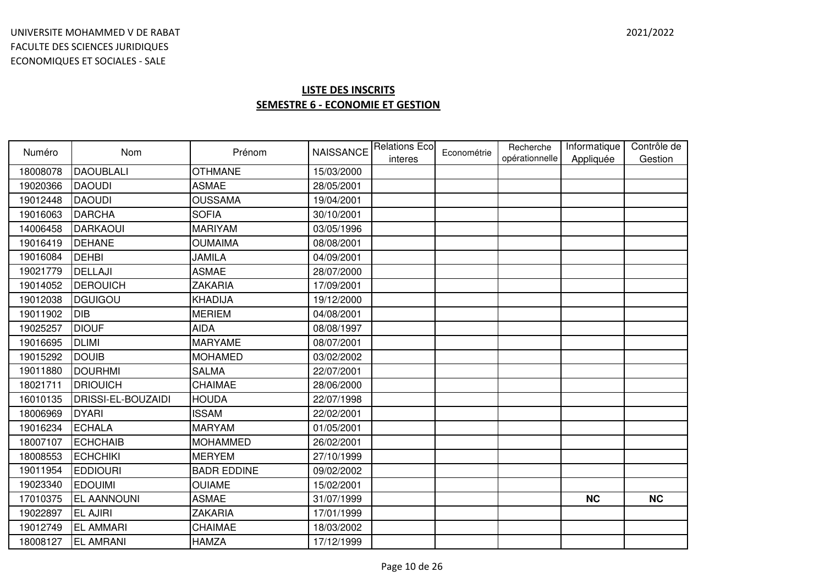| Numéro   | <b>Nom</b>         | Prénom             |            | NAISSANCE Relations Eco<br>interes | Econométrie | Recherche<br>opérationnelle | Informatique<br>Appliquée | Contrôle de<br>Gestion |
|----------|--------------------|--------------------|------------|------------------------------------|-------------|-----------------------------|---------------------------|------------------------|
| 18008078 | <b>DAOUBLALI</b>   | <b>OTHMANE</b>     | 15/03/2000 |                                    |             |                             |                           |                        |
| 19020366 | <b>DAOUDI</b>      | <b>ASMAE</b>       | 28/05/2001 |                                    |             |                             |                           |                        |
| 19012448 | <b>DAOUDI</b>      | <b>OUSSAMA</b>     | 19/04/2001 |                                    |             |                             |                           |                        |
| 19016063 | <b>DARCHA</b>      | <b>SOFIA</b>       | 30/10/2001 |                                    |             |                             |                           |                        |
| 14006458 | <b>DARKAOUI</b>    | <b>MARIYAM</b>     | 03/05/1996 |                                    |             |                             |                           |                        |
| 19016419 | <b>DEHANE</b>      | <b>OUMAIMA</b>     | 08/08/2001 |                                    |             |                             |                           |                        |
| 19016084 | <b>DEHBI</b>       | <b>JAMILA</b>      | 04/09/2001 |                                    |             |                             |                           |                        |
| 19021779 | DELLAJI            | <b>ASMAE</b>       | 28/07/2000 |                                    |             |                             |                           |                        |
| 19014052 | <b>DEROUICH</b>    | <b>ZAKARIA</b>     | 17/09/2001 |                                    |             |                             |                           |                        |
| 19012038 | <b>DGUIGOU</b>     | KHADIJA            | 19/12/2000 |                                    |             |                             |                           |                        |
| 19011902 | <b>DIB</b>         | <b>MERIEM</b>      | 04/08/2001 |                                    |             |                             |                           |                        |
| 19025257 | <b>DIOUF</b>       | <b>AIDA</b>        | 08/08/1997 |                                    |             |                             |                           |                        |
| 19016695 | <b>DLIMI</b>       | <b>MARYAME</b>     | 08/07/2001 |                                    |             |                             |                           |                        |
| 19015292 | <b>DOUIB</b>       | <b>MOHAMED</b>     | 03/02/2002 |                                    |             |                             |                           |                        |
| 19011880 | <b>DOURHMI</b>     | <b>SALMA</b>       | 22/07/2001 |                                    |             |                             |                           |                        |
| 18021711 | <b>DRIOUICH</b>    | <b>CHAIMAE</b>     | 28/06/2000 |                                    |             |                             |                           |                        |
| 16010135 | DRISSI-EL-BOUZAIDI | <b>HOUDA</b>       | 22/07/1998 |                                    |             |                             |                           |                        |
| 18006969 | <b>DYARI</b>       | <b>ISSAM</b>       | 22/02/2001 |                                    |             |                             |                           |                        |
| 19016234 | <b>ECHALA</b>      | <b>MARYAM</b>      | 01/05/2001 |                                    |             |                             |                           |                        |
| 18007107 | <b>ECHCHAIB</b>    | <b>MOHAMMED</b>    | 26/02/2001 |                                    |             |                             |                           |                        |
| 18008553 | <b>ECHCHIKI</b>    | <b>MERYEM</b>      | 27/10/1999 |                                    |             |                             |                           |                        |
| 19011954 | <b>EDDIOURI</b>    | <b>BADR EDDINE</b> | 09/02/2002 |                                    |             |                             |                           |                        |
| 19023340 | <b>EDOUIMI</b>     | <b>OUIAME</b>      | 15/02/2001 |                                    |             |                             |                           |                        |
| 17010375 | <b>EL AANNOUNI</b> | <b>ASMAE</b>       | 31/07/1999 |                                    |             |                             | <b>NC</b>                 | <b>NC</b>              |
| 19022897 | <b>EL AJIRI</b>    | <b>ZAKARIA</b>     | 17/01/1999 |                                    |             |                             |                           |                        |
| 19012749 | <b>EL AMMARI</b>   | <b>CHAIMAE</b>     | 18/03/2002 |                                    |             |                             |                           |                        |
| 18008127 | <b>EL AMRANI</b>   | <b>HAMZA</b>       | 17/12/1999 |                                    |             |                             |                           |                        |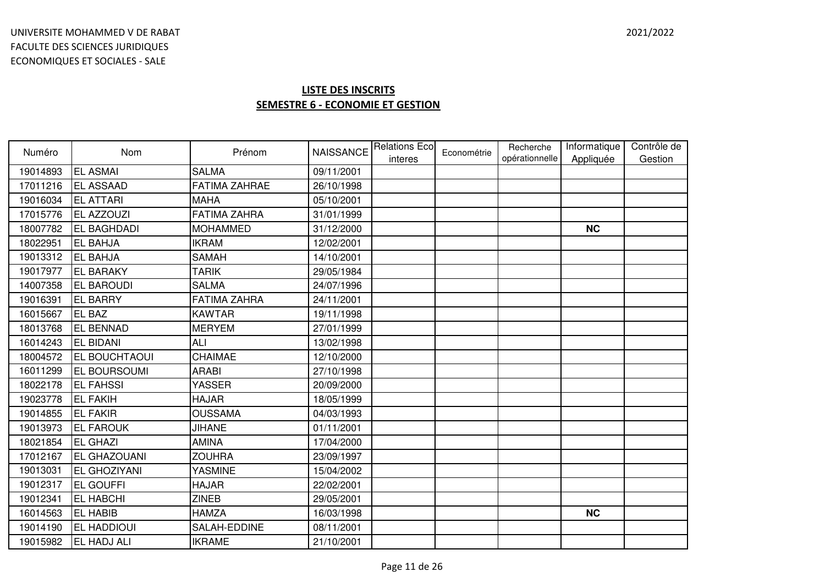| Numéro   | <b>Nom</b>           | Prénom               |            | NAISSANCE Relations Eco<br>interes | Econométrie | Recherche<br>opérationnelle | Informatique<br>Appliquée | Contrôle de<br>Gestion |
|----------|----------------------|----------------------|------------|------------------------------------|-------------|-----------------------------|---------------------------|------------------------|
| 19014893 | <b>EL ASMAI</b>      | <b>SALMA</b>         | 09/11/2001 |                                    |             |                             |                           |                        |
| 17011216 | <b>EL ASSAAD</b>     | <b>FATIMA ZAHRAE</b> | 26/10/1998 |                                    |             |                             |                           |                        |
| 19016034 | <b>EL ATTARI</b>     | <b>MAHA</b>          | 05/10/2001 |                                    |             |                             |                           |                        |
| 17015776 | <b>EL AZZOUZI</b>    | <b>FATIMA ZAHRA</b>  | 31/01/1999 |                                    |             |                             |                           |                        |
| 18007782 | <b>EL BAGHDADI</b>   | <b>MOHAMMED</b>      | 31/12/2000 |                                    |             |                             | <b>NC</b>                 |                        |
| 18022951 | <b>EL BAHJA</b>      | <b>IKRAM</b>         | 12/02/2001 |                                    |             |                             |                           |                        |
| 19013312 | <b>EL BAHJA</b>      | <b>SAMAH</b>         | 14/10/2001 |                                    |             |                             |                           |                        |
| 19017977 | <b>EL BARAKY</b>     | <b>TARIK</b>         | 29/05/1984 |                                    |             |                             |                           |                        |
| 14007358 | <b>EL BAROUDI</b>    | <b>SALMA</b>         | 24/07/1996 |                                    |             |                             |                           |                        |
| 19016391 | <b>EL BARRY</b>      | <b>FATIMA ZAHRA</b>  | 24/11/2001 |                                    |             |                             |                           |                        |
| 16015667 | <b>EL BAZ</b>        | <b>KAWTAR</b>        | 19/11/1998 |                                    |             |                             |                           |                        |
| 18013768 | <b>EL BENNAD</b>     | <b>MERYEM</b>        | 27/01/1999 |                                    |             |                             |                           |                        |
| 16014243 | <b>EL BIDANI</b>     | <b>ALI</b>           | 13/02/1998 |                                    |             |                             |                           |                        |
| 18004572 | <b>EL BOUCHTAOUI</b> | CHAIMAE              | 12/10/2000 |                                    |             |                             |                           |                        |
| 16011299 | <b>EL BOURSOUMI</b>  | <b>ARABI</b>         | 27/10/1998 |                                    |             |                             |                           |                        |
| 18022178 | <b>EL FAHSSI</b>     | <b>YASSER</b>        | 20/09/2000 |                                    |             |                             |                           |                        |
| 19023778 | <b>EL FAKIH</b>      | <b>HAJAR</b>         | 18/05/1999 |                                    |             |                             |                           |                        |
| 19014855 | <b>EL FAKIR</b>      | <b>OUSSAMA</b>       | 04/03/1993 |                                    |             |                             |                           |                        |
| 19013973 | <b>EL FAROUK</b>     | <b>JIHANE</b>        | 01/11/2001 |                                    |             |                             |                           |                        |
| 18021854 | <b>EL GHAZI</b>      | <b>AMINA</b>         | 17/04/2000 |                                    |             |                             |                           |                        |
| 17012167 | EL GHAZOUANI         | <b>ZOUHRA</b>        | 23/09/1997 |                                    |             |                             |                           |                        |
| 19013031 | EL GHOZIYANI         | <b>YASMINE</b>       | 15/04/2002 |                                    |             |                             |                           |                        |
| 19012317 | <b>EL GOUFFI</b>     | <b>HAJAR</b>         | 22/02/2001 |                                    |             |                             |                           |                        |
| 19012341 | <b>EL HABCHI</b>     | <b>ZINEB</b>         | 29/05/2001 |                                    |             |                             |                           |                        |
| 16014563 | <b>EL HABIB</b>      | <b>HAMZA</b>         | 16/03/1998 |                                    |             |                             | <b>NC</b>                 |                        |
| 19014190 | <b>EL HADDIOUI</b>   | SALAH-EDDINE         | 08/11/2001 |                                    |             |                             |                           |                        |
| 19015982 | <b>EL HADJ ALI</b>   | <b>IKRAME</b>        | 21/10/2001 |                                    |             |                             |                           |                        |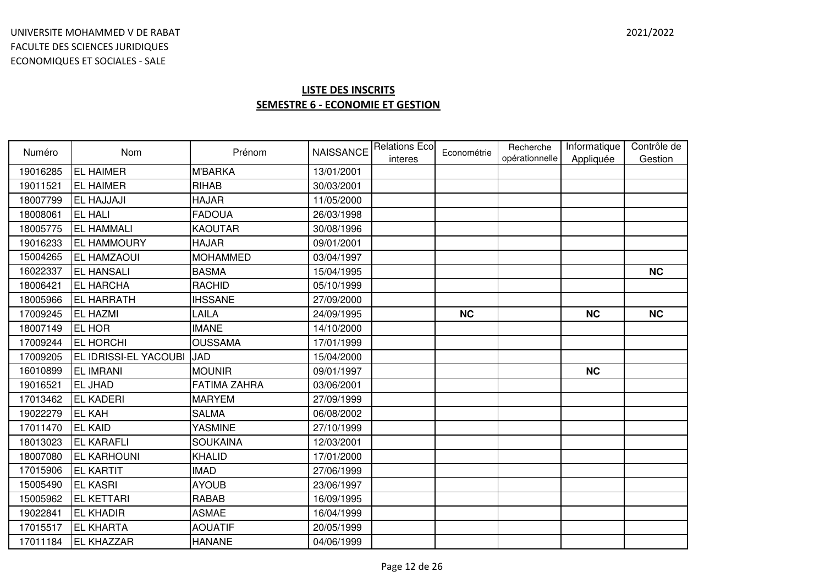| Numéro   | Nom                          | Prénom              | <b>NAISSANCE</b> | <b>Relations Eco</b><br>interes | Econométrie | Recherche<br>opérationnelle | Informatique<br>Appliquée | Contrôle de<br>Gestion |
|----------|------------------------------|---------------------|------------------|---------------------------------|-------------|-----------------------------|---------------------------|------------------------|
| 19016285 | <b>EL HAIMER</b>             | <b>M'BARKA</b>      | 13/01/2001       |                                 |             |                             |                           |                        |
| 19011521 | <b>EL HAIMER</b>             | <b>RIHAB</b>        | 30/03/2001       |                                 |             |                             |                           |                        |
| 18007799 | <b>EL HAJJAJI</b>            | <b>HAJAR</b>        | 11/05/2000       |                                 |             |                             |                           |                        |
| 18008061 | <b>EL HALI</b>               | <b>FADOUA</b>       | 26/03/1998       |                                 |             |                             |                           |                        |
| 18005775 | <b>EL HAMMALI</b>            | <b>KAOUTAR</b>      | 30/08/1996       |                                 |             |                             |                           |                        |
| 19016233 | <b>EL HAMMOURY</b>           | <b>HAJAR</b>        | 09/01/2001       |                                 |             |                             |                           |                        |
| 15004265 | <b>EL HAMZAOUI</b>           | <b>MOHAMMED</b>     | 03/04/1997       |                                 |             |                             |                           |                        |
| 16022337 | <b>EL HANSALI</b>            | <b>BASMA</b>        | 15/04/1995       |                                 |             |                             |                           | <b>NC</b>              |
| 18006421 | <b>EL HARCHA</b>             | <b>RACHID</b>       | 05/10/1999       |                                 |             |                             |                           |                        |
| 18005966 | <b>EL HARRATH</b>            | <b>IHSSANE</b>      | 27/09/2000       |                                 |             |                             |                           |                        |
| 17009245 | <b>EL HAZMI</b>              | LAILA               | 24/09/1995       |                                 | <b>NC</b>   |                             | <b>NC</b>                 | <b>NC</b>              |
| 18007149 | <b>EL HOR</b>                | <b>IMANE</b>        | 14/10/2000       |                                 |             |                             |                           |                        |
| 17009244 | <b>EL HORCHI</b>             | <b>OUSSAMA</b>      | 17/01/1999       |                                 |             |                             |                           |                        |
| 17009205 | <b>EL IDRISSI-EL YACOUBI</b> | <b>JAD</b>          | 15/04/2000       |                                 |             |                             |                           |                        |
| 16010899 | <b>EL IMRANI</b>             | <b>MOUNIR</b>       | 09/01/1997       |                                 |             |                             | <b>NC</b>                 |                        |
| 19016521 | <b>EL JHAD</b>               | <b>FATIMA ZAHRA</b> | 03/06/2001       |                                 |             |                             |                           |                        |
| 17013462 | <b>EL KADERI</b>             | <b>MARYEM</b>       | 27/09/1999       |                                 |             |                             |                           |                        |
| 19022279 | <b>EL KAH</b>                | <b>SALMA</b>        | 06/08/2002       |                                 |             |                             |                           |                        |
| 17011470 | <b>EL KAID</b>               | <b>YASMINE</b>      | 27/10/1999       |                                 |             |                             |                           |                        |
| 18013023 | <b>EL KARAFLI</b>            | <b>SOUKAINA</b>     | 12/03/2001       |                                 |             |                             |                           |                        |
| 18007080 | <b>EL KARHOUNI</b>           | KHALID              | 17/01/2000       |                                 |             |                             |                           |                        |
| 17015906 | <b>EL KARTIT</b>             | <b>IMAD</b>         | 27/06/1999       |                                 |             |                             |                           |                        |
| 15005490 | <b>EL KASRI</b>              | <b>AYOUB</b>        | 23/06/1997       |                                 |             |                             |                           |                        |
| 15005962 | <b>EL KETTARI</b>            | <b>RABAB</b>        | 16/09/1995       |                                 |             |                             |                           |                        |
| 19022841 | <b>EL KHADIR</b>             | <b>ASMAE</b>        | 16/04/1999       |                                 |             |                             |                           |                        |
| 17015517 | <b>EL KHARTA</b>             | <b>AOUATIF</b>      | 20/05/1999       |                                 |             |                             |                           |                        |
| 17011184 | <b>EL KHAZZAR</b>            | <b>HANANE</b>       | 04/06/1999       |                                 |             |                             |                           |                        |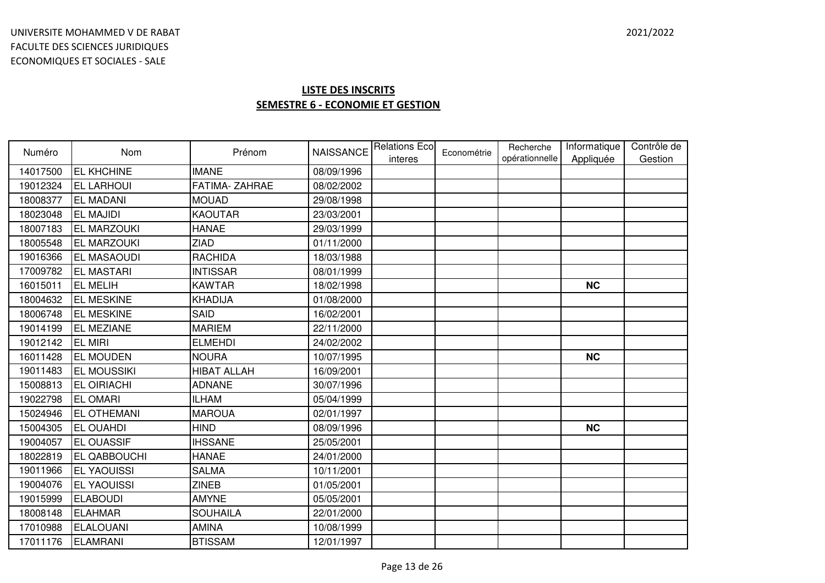| Numéro   | <b>Nom</b>         | Prénom          | <b>NAISSANCE</b> | <b>Relations Eco</b><br>interes | Econométrie | Recherche<br>opérationnelle | Informatique<br>Appliquée | Contrôle de<br>Gestion |
|----------|--------------------|-----------------|------------------|---------------------------------|-------------|-----------------------------|---------------------------|------------------------|
| 14017500 | <b>EL KHCHINE</b>  | <b>IMANE</b>    | 08/09/1996       |                                 |             |                             |                           |                        |
| 19012324 | <b>EL LARHOUI</b>  | FATIMA-ZAHRAE   | 08/02/2002       |                                 |             |                             |                           |                        |
| 18008377 | <b>EL MADANI</b>   | <b>MOUAD</b>    | 29/08/1998       |                                 |             |                             |                           |                        |
| 18023048 | <b>EL MAJIDI</b>   | <b>KAOUTAR</b>  | 23/03/2001       |                                 |             |                             |                           |                        |
| 18007183 | <b>EL MARZOUKI</b> | <b>HANAE</b>    | 29/03/1999       |                                 |             |                             |                           |                        |
| 18005548 | <b>EL MARZOUKI</b> | <b>ZIAD</b>     | 01/11/2000       |                                 |             |                             |                           |                        |
| 19016366 | <b>EL MASAOUDI</b> | <b>RACHIDA</b>  | 18/03/1988       |                                 |             |                             |                           |                        |
| 17009782 | <b>EL MASTARI</b>  | <b>INTISSAR</b> | 08/01/1999       |                                 |             |                             |                           |                        |
| 16015011 | <b>EL MELIH</b>    | <b>KAWTAR</b>   | 18/02/1998       |                                 |             |                             | <b>NC</b>                 |                        |
| 18004632 | <b>EL MESKINE</b>  | <b>KHADIJA</b>  | 01/08/2000       |                                 |             |                             |                           |                        |
| 18006748 | <b>EL MESKINE</b>  | SAID            | 16/02/2001       |                                 |             |                             |                           |                        |
| 19014199 | <b>EL MEZIANE</b>  | <b>MARIEM</b>   | 22/11/2000       |                                 |             |                             |                           |                        |
| 19012142 | <b>EL MIRI</b>     | <b>ELMEHDI</b>  | 24/02/2002       |                                 |             |                             |                           |                        |
| 16011428 | <b>EL MOUDEN</b>   | <b>NOURA</b>    | 10/07/1995       |                                 |             |                             | <b>NC</b>                 |                        |
| 19011483 | <b>EL MOUSSIKI</b> | HIBAT ALLAH     | 16/09/2001       |                                 |             |                             |                           |                        |
| 15008813 | <b>EL OIRIACHI</b> | <b>ADNANE</b>   | 30/07/1996       |                                 |             |                             |                           |                        |
| 19022798 | <b>EL OMARI</b>    | <b>ILHAM</b>    | 05/04/1999       |                                 |             |                             |                           |                        |
| 15024946 | <b>EL OTHEMANI</b> | <b>MAROUA</b>   | 02/01/1997       |                                 |             |                             |                           |                        |
| 15004305 | <b>EL OUAHDI</b>   | <b>HIND</b>     | 08/09/1996       |                                 |             |                             | <b>NC</b>                 |                        |
| 19004057 | <b>EL OUASSIF</b>  | <b>IHSSANE</b>  | 25/05/2001       |                                 |             |                             |                           |                        |
| 18022819 | EL QABBOUCHI       | <b>HANAE</b>    | 24/01/2000       |                                 |             |                             |                           |                        |
| 19011966 | <b>EL YAOUISSI</b> | <b>SALMA</b>    | 10/11/2001       |                                 |             |                             |                           |                        |
| 19004076 | <b>EL YAOUISSI</b> | <b>ZINEB</b>    | 01/05/2001       |                                 |             |                             |                           |                        |
| 19015999 | <b>ELABOUDI</b>    | <b>AMYNE</b>    | 05/05/2001       |                                 |             |                             |                           |                        |
| 18008148 | <b>ELAHMAR</b>     | <b>SOUHAILA</b> | 22/01/2000       |                                 |             |                             |                           |                        |
| 17010988 | <b>ELALOUANI</b>   | <b>AMINA</b>    | 10/08/1999       |                                 |             |                             |                           |                        |
| 17011176 | <b>ELAMRANI</b>    | <b>BTISSAM</b>  | 12/01/1997       |                                 |             |                             |                           |                        |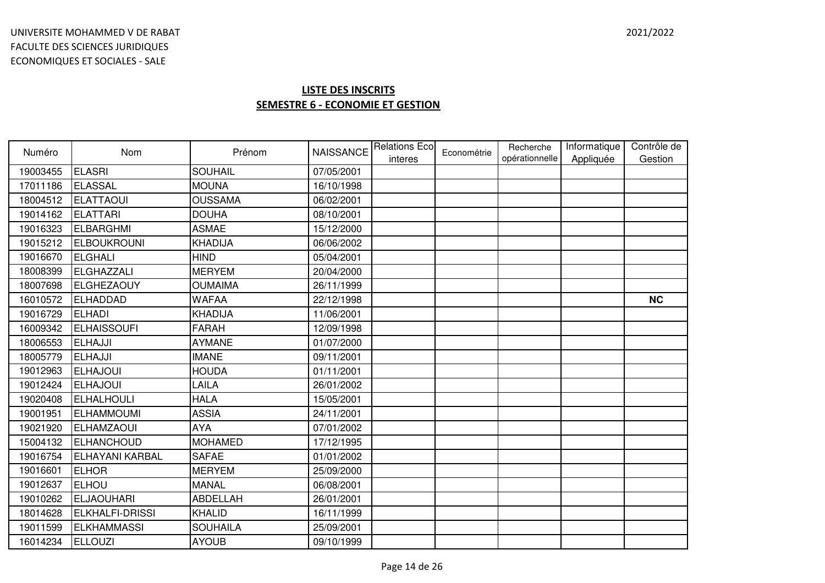| Numéro   | <b>Nom</b>             | Prénom          | <b>NAISSANCE</b> | <b>Relations Ecol</b><br>interes | Econométrie | Recherche<br>opérationnelle | Informatique<br>Appliquée | Contrôle de<br>Gestion |
|----------|------------------------|-----------------|------------------|----------------------------------|-------------|-----------------------------|---------------------------|------------------------|
| 19003455 | <b>ELASRI</b>          | <b>SOUHAIL</b>  | 07/05/2001       |                                  |             |                             |                           |                        |
| 17011186 | <b>ELASSAL</b>         | <b>MOUNA</b>    | 16/10/1998       |                                  |             |                             |                           |                        |
| 18004512 | <b>ELATTAOUI</b>       | <b>OUSSAMA</b>  | 06/02/2001       |                                  |             |                             |                           |                        |
| 19014162 | <b>ELATTARI</b>        | <b>DOUHA</b>    | 08/10/2001       |                                  |             |                             |                           |                        |
| 19016323 | <b>ELBARGHMI</b>       | <b>ASMAE</b>    | 15/12/2000       |                                  |             |                             |                           |                        |
| 19015212 | <b>ELBOUKROUNI</b>     | <b>KHADIJA</b>  | 06/06/2002       |                                  |             |                             |                           |                        |
| 19016670 | <b>ELGHALI</b>         | <b>HIND</b>     | 05/04/2001       |                                  |             |                             |                           |                        |
| 18008399 | ELGHAZZALI             | <b>MERYEM</b>   | 20/04/2000       |                                  |             |                             |                           |                        |
| 18007698 | <b>ELGHEZAOUY</b>      | <b>OUMAIMA</b>  | 26/11/1999       |                                  |             |                             |                           |                        |
| 16010572 | <b>ELHADDAD</b>        | <b>WAFAA</b>    | 22/12/1998       |                                  |             |                             |                           | <b>NC</b>              |
| 19016729 | <b>ELHADI</b>          | KHADIJA         | 11/06/2001       |                                  |             |                             |                           |                        |
| 16009342 | <b>ELHAISSOUFI</b>     | <b>FARAH</b>    | 12/09/1998       |                                  |             |                             |                           |                        |
| 18006553 | ELHAJJI                | <b>AYMANE</b>   | 01/07/2000       |                                  |             |                             |                           |                        |
| 18005779 | ELHAJJI                | <b>IMANE</b>    | 09/11/2001       |                                  |             |                             |                           |                        |
| 19012963 | <b>ELHAJOUI</b>        | <b>HOUDA</b>    | 01/11/2001       |                                  |             |                             |                           |                        |
| 19012424 | <b>ELHAJOUI</b>        | LAILA           | 26/01/2002       |                                  |             |                             |                           |                        |
| 19020408 | <b>ELHALHOULI</b>      | <b>HALA</b>     | 15/05/2001       |                                  |             |                             |                           |                        |
| 19001951 | <b>ELHAMMOUMI</b>      | <b>ASSIA</b>    | 24/11/2001       |                                  |             |                             |                           |                        |
| 19021920 | <b>ELHAMZAOUI</b>      | <b>AYA</b>      | 07/01/2002       |                                  |             |                             |                           |                        |
| 15004132 | <b>ELHANCHOUD</b>      | <b>MOHAMED</b>  | 17/12/1995       |                                  |             |                             |                           |                        |
| 19016754 | <b>ELHAYANI KARBAL</b> | <b>SAFAE</b>    | 01/01/2002       |                                  |             |                             |                           |                        |
| 19016601 | <b>ELHOR</b>           | <b>MERYEM</b>   | 25/09/2000       |                                  |             |                             |                           |                        |
| 19012637 | <b>ELHOU</b>           | <b>MANAL</b>    | 06/08/2001       |                                  |             |                             |                           |                        |
| 19010262 | <b>ELJAOUHARI</b>      | ABDELLAH        | 26/01/2001       |                                  |             |                             |                           |                        |
| 18014628 | <b>ELKHALFI-DRISSI</b> | <b>KHALID</b>   | 16/11/1999       |                                  |             |                             |                           |                        |
| 19011599 | <b>ELKHAMMASSI</b>     | <b>SOUHAILA</b> | 25/09/2001       |                                  |             |                             |                           |                        |
| 16014234 | <b>ELLOUZI</b>         | <b>AYOUB</b>    | 09/10/1999       |                                  |             |                             |                           |                        |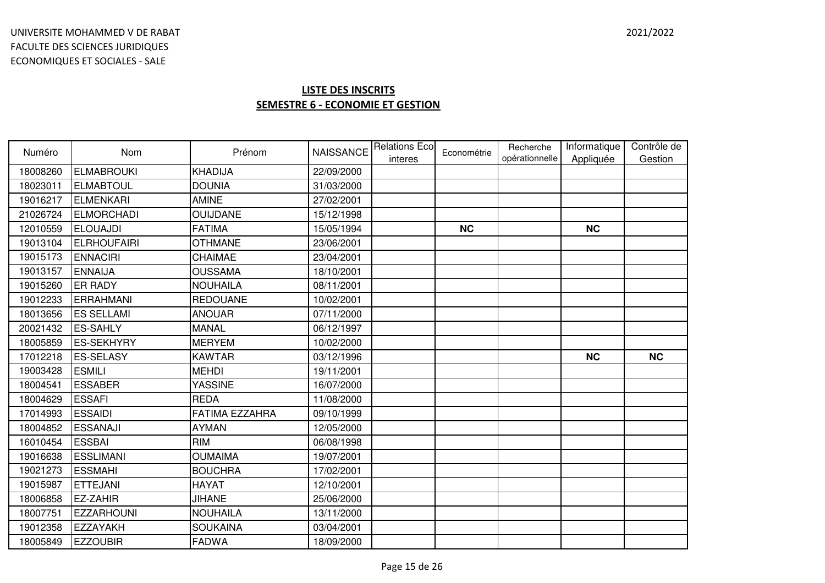| Numéro   | Nom                | Prénom                | <b>NAISSANCE</b> | <b>Relations Eco</b><br>interes | Econométrie | Recherche<br>opérationnelle | Informatique<br>Appliquée | Contrôle de<br>Gestion |
|----------|--------------------|-----------------------|------------------|---------------------------------|-------------|-----------------------------|---------------------------|------------------------|
| 18008260 | ELMABROUKI         | <b>KHADIJA</b>        | 22/09/2000       |                                 |             |                             |                           |                        |
| 18023011 | <b>ELMABTOUL</b>   | <b>DOUNIA</b>         | 31/03/2000       |                                 |             |                             |                           |                        |
| 19016217 | ELMENKARI          | <b>AMINE</b>          | 27/02/2001       |                                 |             |                             |                           |                        |
| 21026724 | <b>ELMORCHADI</b>  | <b>OUIJDANE</b>       | 15/12/1998       |                                 |             |                             |                           |                        |
| 12010559 | <b>ELOUAJDI</b>    | <b>FATIMA</b>         | 15/05/1994       |                                 | <b>NC</b>   |                             | <b>NC</b>                 |                        |
| 19013104 | <b>ELRHOUFAIRI</b> | <b>OTHMANE</b>        | 23/06/2001       |                                 |             |                             |                           |                        |
| 19015173 | <b>ENNACIRI</b>    | CHAIMAE               | 23/04/2001       |                                 |             |                             |                           |                        |
| 19013157 | <b>ENNAIJA</b>     | <b>OUSSAMA</b>        | 18/10/2001       |                                 |             |                             |                           |                        |
| 19015260 | <b>ER RADY</b>     | <b>NOUHAILA</b>       | 08/11/2001       |                                 |             |                             |                           |                        |
| 19012233 | <b>ERRAHMANI</b>   | <b>REDOUANE</b>       | 10/02/2001       |                                 |             |                             |                           |                        |
| 18013656 | <b>ES SELLAMI</b>  | <b>ANOUAR</b>         | 07/11/2000       |                                 |             |                             |                           |                        |
| 20021432 | <b>ES-SAHLY</b>    | <b>MANAL</b>          | 06/12/1997       |                                 |             |                             |                           |                        |
| 18005859 | <b>ES-SEKHYRY</b>  | <b>MERYEM</b>         | 10/02/2000       |                                 |             |                             |                           |                        |
| 17012218 | <b>ES-SELASY</b>   | <b>KAWTAR</b>         | 03/12/1996       |                                 |             |                             | <b>NC</b>                 | <b>NC</b>              |
| 19003428 | <b>ESMILI</b>      | <b>MEHDI</b>          | 19/11/2001       |                                 |             |                             |                           |                        |
| 18004541 | <b>ESSABER</b>     | <b>YASSINE</b>        | 16/07/2000       |                                 |             |                             |                           |                        |
| 18004629 | <b>ESSAFI</b>      | <b>REDA</b>           | 11/08/2000       |                                 |             |                             |                           |                        |
| 17014993 | <b>ESSAIDI</b>     | <b>FATIMA EZZAHRA</b> | 09/10/1999       |                                 |             |                             |                           |                        |
| 18004852 | <b>ESSANAJI</b>    | <b>AYMAN</b>          | 12/05/2000       |                                 |             |                             |                           |                        |
| 16010454 | <b>ESSBAI</b>      | <b>RIM</b>            | 06/08/1998       |                                 |             |                             |                           |                        |
| 19016638 | <b>ESSLIMANI</b>   | <b>OUMAIMA</b>        | 19/07/2001       |                                 |             |                             |                           |                        |
| 19021273 | <b>ESSMAHI</b>     | <b>BOUCHRA</b>        | 17/02/2001       |                                 |             |                             |                           |                        |
| 19015987 | <b>ETTEJANI</b>    | <b>HAYAT</b>          | 12/10/2001       |                                 |             |                             |                           |                        |
| 18006858 | <b>EZ-ZAHIR</b>    | <b>JIHANE</b>         | 25/06/2000       |                                 |             |                             |                           |                        |
| 18007751 | <b>EZZARHOUNI</b>  | <b>NOUHAILA</b>       | 13/11/2000       |                                 |             |                             |                           |                        |
| 19012358 | <b>EZZAYAKH</b>    | <b>SOUKAINA</b>       | 03/04/2001       |                                 |             |                             |                           |                        |
| 18005849 | <b>EZZOUBIR</b>    | <b>FADWA</b>          | 18/09/2000       |                                 |             |                             |                           |                        |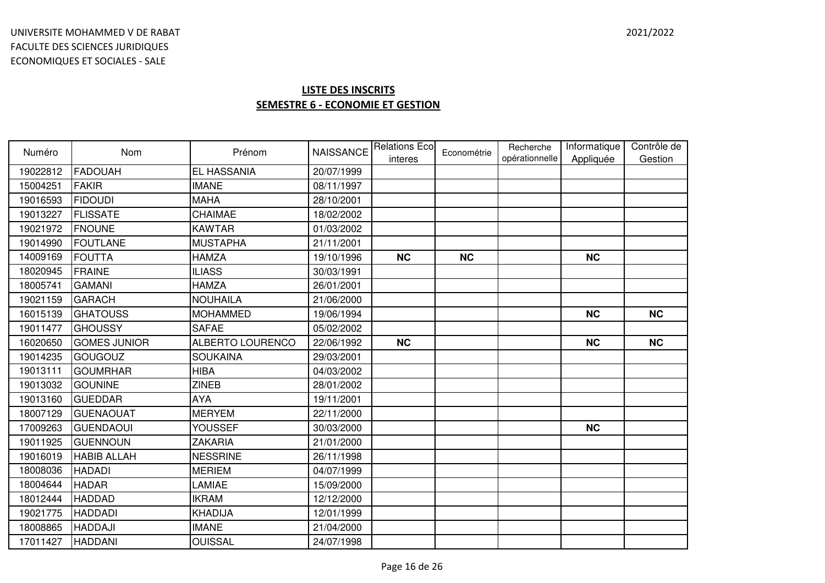| Numéro   | Nom                 | Prénom           | <b>NAISSANCE</b> | <b>Relations Eco</b><br>interes | Econométrie | Recherche<br>opérationnelle | Informatique<br>Appliquée | Contrôle de<br>Gestion |
|----------|---------------------|------------------|------------------|---------------------------------|-------------|-----------------------------|---------------------------|------------------------|
| 19022812 | <b>FADOUAH</b>      | EL HASSANIA      | 20/07/1999       |                                 |             |                             |                           |                        |
| 15004251 | <b>FAKIR</b>        | <b>IMANE</b>     | 08/11/1997       |                                 |             |                             |                           |                        |
| 19016593 | <b>FIDOUDI</b>      | <b>MAHA</b>      | 28/10/2001       |                                 |             |                             |                           |                        |
| 19013227 | <b>FLISSATE</b>     | CHAIMAE          | 18/02/2002       |                                 |             |                             |                           |                        |
| 19021972 | <b>FNOUNE</b>       | <b>KAWTAR</b>    | 01/03/2002       |                                 |             |                             |                           |                        |
| 19014990 | <b>FOUTLANE</b>     | <b>MUSTAPHA</b>  | 21/11/2001       |                                 |             |                             |                           |                        |
| 14009169 | <b>FOUTTA</b>       | <b>HAMZA</b>     | 19/10/1996       | <b>NC</b>                       | <b>NC</b>   |                             | <b>NC</b>                 |                        |
| 18020945 | FRAINE              | <b>ILIASS</b>    | 30/03/1991       |                                 |             |                             |                           |                        |
| 18005741 | <b>GAMANI</b>       | <b>HAMZA</b>     | 26/01/2001       |                                 |             |                             |                           |                        |
| 19021159 | <b>GARACH</b>       | <b>NOUHAILA</b>  | 21/06/2000       |                                 |             |                             |                           |                        |
| 16015139 | <b>GHATOUSS</b>     | <b>MOHAMMED</b>  | 19/06/1994       |                                 |             |                             | <b>NC</b>                 | <b>NC</b>              |
| 19011477 | <b>GHOUSSY</b>      | <b>SAFAE</b>     | 05/02/2002       |                                 |             |                             |                           |                        |
| 16020650 | <b>GOMES JUNIOR</b> | ALBERTO LOURENCO | 22/06/1992       | <b>NC</b>                       |             |                             | <b>NC</b>                 | <b>NC</b>              |
| 19014235 | GOUGOUZ             | <b>SOUKAINA</b>  | 29/03/2001       |                                 |             |                             |                           |                        |
| 19013111 | <b>GOUMRHAR</b>     | <b>HIBA</b>      | 04/03/2002       |                                 |             |                             |                           |                        |
| 19013032 | <b>GOUNINE</b>      | <b>ZINEB</b>     | 28/01/2002       |                                 |             |                             |                           |                        |
| 19013160 | <b>GUEDDAR</b>      | <b>AYA</b>       | 19/11/2001       |                                 |             |                             |                           |                        |
| 18007129 | <b>GUENAOUAT</b>    | <b>MERYEM</b>    | 22/11/2000       |                                 |             |                             |                           |                        |
| 17009263 | <b>GUENDAOUI</b>    | YOUSSEF          | 30/03/2000       |                                 |             |                             | <b>NC</b>                 |                        |
| 19011925 | <b>GUENNOUN</b>     | <b>ZAKARIA</b>   | 21/01/2000       |                                 |             |                             |                           |                        |
| 19016019 | <b>HABIB ALLAH</b>  | <b>NESSRINE</b>  | 26/11/1998       |                                 |             |                             |                           |                        |
| 18008036 | <b>HADADI</b>       | <b>MERIEM</b>    | 04/07/1999       |                                 |             |                             |                           |                        |
| 18004644 | <b>HADAR</b>        | LAMIAE           | 15/09/2000       |                                 |             |                             |                           |                        |
| 18012444 | <b>HADDAD</b>       | <b>IKRAM</b>     | 12/12/2000       |                                 |             |                             |                           |                        |
| 19021775 | <b>HADDADI</b>      | <b>KHADIJA</b>   | 12/01/1999       |                                 |             |                             |                           |                        |
| 18008865 | <b>HADDAJI</b>      | <b>IMANE</b>     | 21/04/2000       |                                 |             |                             |                           |                        |
| 17011427 | <b>HADDANI</b>      | <b>OUISSAL</b>   | 24/07/1998       |                                 |             |                             |                           |                        |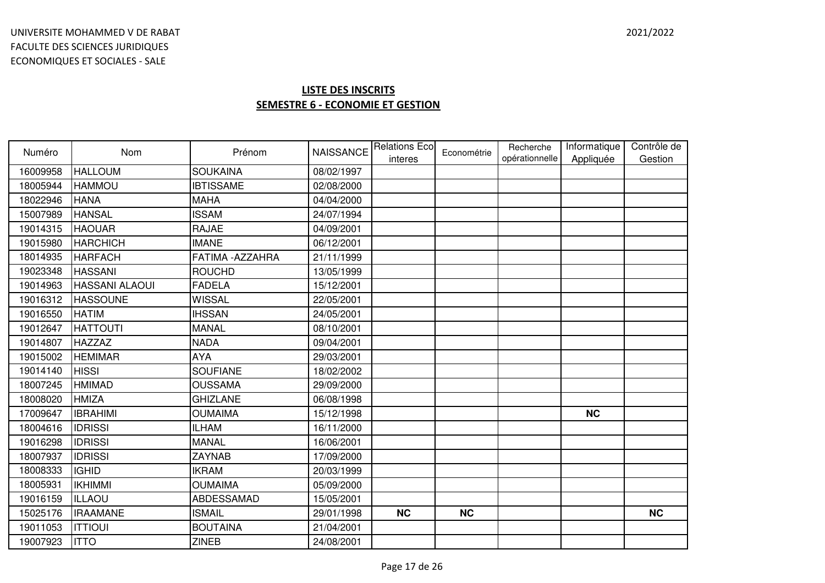| Numéro   | <b>Nom</b>            | Prénom           | <b>NAISSANCE</b> | <b>Relations Eco</b> | Econométrie | Recherche<br>opérationnelle | Informatique | Contrôle de |
|----------|-----------------------|------------------|------------------|----------------------|-------------|-----------------------------|--------------|-------------|
| 16009958 | <b>HALLOUM</b>        | <b>SOUKAINA</b>  | 08/02/1997       | interes              |             |                             | Appliquée    | Gestion     |
| 18005944 | <b>HAMMOU</b>         | <b>IBTISSAME</b> | 02/08/2000       |                      |             |                             |              |             |
| 18022946 | <b>HANA</b>           | <b>MAHA</b>      | 04/04/2000       |                      |             |                             |              |             |
| 15007989 | <b>HANSAL</b>         | <b>ISSAM</b>     | 24/07/1994       |                      |             |                             |              |             |
| 19014315 | <b>HAOUAR</b>         | <b>RAJAE</b>     | 04/09/2001       |                      |             |                             |              |             |
| 19015980 | <b>HARCHICH</b>       | <b>IMANE</b>     | 06/12/2001       |                      |             |                             |              |             |
| 18014935 | <b>HARFACH</b>        | FATIMA - AZZAHRA | 21/11/1999       |                      |             |                             |              |             |
| 19023348 | <b>HASSANI</b>        | <b>ROUCHD</b>    | 13/05/1999       |                      |             |                             |              |             |
| 19014963 | <b>HASSANI ALAOUI</b> | <b>FADELA</b>    | 15/12/2001       |                      |             |                             |              |             |
| 19016312 | <b>HASSOUNE</b>       | <b>WISSAL</b>    | 22/05/2001       |                      |             |                             |              |             |
| 19016550 | <b>HATIM</b>          | <b>IHSSAN</b>    | 24/05/2001       |                      |             |                             |              |             |
| 19012647 | <b>HATTOUTI</b>       | <b>MANAL</b>     | 08/10/2001       |                      |             |                             |              |             |
| 19014807 | <b>HAZZAZ</b>         | <b>NADA</b>      | 09/04/2001       |                      |             |                             |              |             |
| 19015002 | <b>HEMIMAR</b>        | <b>AYA</b>       | 29/03/2001       |                      |             |                             |              |             |
| 19014140 | <b>HISSI</b>          | <b>SOUFIANE</b>  | 18/02/2002       |                      |             |                             |              |             |
| 18007245 | <b>HMIMAD</b>         | <b>OUSSAMA</b>   | 29/09/2000       |                      |             |                             |              |             |
| 18008020 | <b>HMIZA</b>          | <b>GHIZLANE</b>  | 06/08/1998       |                      |             |                             |              |             |
| 17009647 | <b>IBRAHIMI</b>       | <b>OUMAIMA</b>   | 15/12/1998       |                      |             |                             | <b>NC</b>    |             |
| 18004616 | <b>IDRISSI</b>        | <b>ILHAM</b>     | 16/11/2000       |                      |             |                             |              |             |
| 19016298 | <b>IDRISSI</b>        | <b>MANAL</b>     | 16/06/2001       |                      |             |                             |              |             |
| 18007937 | <b>IDRISSI</b>        | <b>ZAYNAB</b>    | 17/09/2000       |                      |             |                             |              |             |
| 18008333 | <b>IGHID</b>          | <b>IKRAM</b>     | 20/03/1999       |                      |             |                             |              |             |
| 18005931 | <b>IKHIMMI</b>        | <b>OUMAIMA</b>   | 05/09/2000       |                      |             |                             |              |             |
| 19016159 | ILLAOU                | ABDESSAMAD       | 15/05/2001       |                      |             |                             |              |             |
| 15025176 | <b>IRAAMANE</b>       | <b>ISMAIL</b>    | 29/01/1998       | <b>NC</b>            | <b>NC</b>   |                             |              | <b>NC</b>   |
| 19011053 | <b>ITTIOUI</b>        | <b>BOUTAINA</b>  | 21/04/2001       |                      |             |                             |              |             |
| 19007923 | <b>ITTO</b>           | <b>ZINEB</b>     | 24/08/2001       |                      |             |                             |              |             |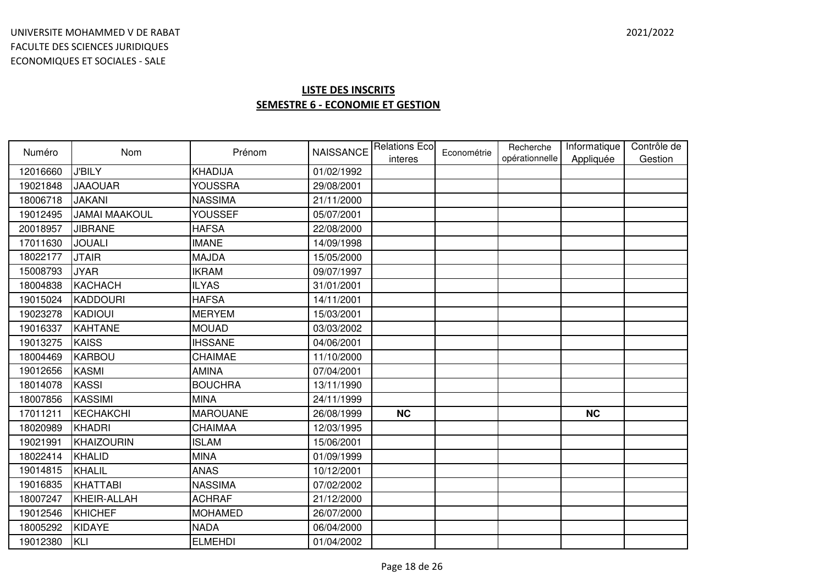| Numéro   | <b>Nom</b>           | Prénom          |            | NAISSANCE Relations Eco<br>interes | Econométrie | Recherche<br>opérationnelle | Informatique<br>Appliquée | Contrôle de<br>Gestion |
|----------|----------------------|-----------------|------------|------------------------------------|-------------|-----------------------------|---------------------------|------------------------|
| 12016660 | <b>J'BILY</b>        | <b>KHADIJA</b>  | 01/02/1992 |                                    |             |                             |                           |                        |
| 19021848 | <b>JAAOUAR</b>       | <b>YOUSSRA</b>  | 29/08/2001 |                                    |             |                             |                           |                        |
| 18006718 | <b>JAKANI</b>        | <b>NASSIMA</b>  | 21/11/2000 |                                    |             |                             |                           |                        |
| 19012495 | <b>JAMAI MAAKOUL</b> | <b>YOUSSEF</b>  | 05/07/2001 |                                    |             |                             |                           |                        |
| 20018957 | <b>JIBRANE</b>       | <b>HAFSA</b>    | 22/08/2000 |                                    |             |                             |                           |                        |
| 17011630 | <b>JOUALI</b>        | <b>IMANE</b>    | 14/09/1998 |                                    |             |                             |                           |                        |
| 18022177 | <b>JTAIR</b>         | <b>MAJDA</b>    | 15/05/2000 |                                    |             |                             |                           |                        |
| 15008793 | <b>JYAR</b>          | <b>IKRAM</b>    | 09/07/1997 |                                    |             |                             |                           |                        |
| 18004838 | <b>KACHACH</b>       | <b>ILYAS</b>    | 31/01/2001 |                                    |             |                             |                           |                        |
| 19015024 | KADDOURI             | <b>HAFSA</b>    | 14/11/2001 |                                    |             |                             |                           |                        |
| 19023278 | KADIOUI              | <b>MERYEM</b>   | 15/03/2001 |                                    |             |                             |                           |                        |
| 19016337 | KAHTANE              | <b>MOUAD</b>    | 03/03/2002 |                                    |             |                             |                           |                        |
| 19013275 | <b>KAISS</b>         | <b>IHSSANE</b>  | 04/06/2001 |                                    |             |                             |                           |                        |
| 18004469 | KARBOU               | CHAIMAE         | 11/10/2000 |                                    |             |                             |                           |                        |
| 19012656 | <b>KASMI</b>         | <b>AMINA</b>    | 07/04/2001 |                                    |             |                             |                           |                        |
| 18014078 | <b>KASSI</b>         | <b>BOUCHRA</b>  | 13/11/1990 |                                    |             |                             |                           |                        |
| 18007856 | <b>KASSIMI</b>       | <b>MINA</b>     | 24/11/1999 |                                    |             |                             |                           |                        |
| 17011211 | KECHAKCHI            | <b>MAROUANE</b> | 26/08/1999 | <b>NC</b>                          |             |                             | <b>NC</b>                 |                        |
| 18020989 | KHADRI               | CHAIMAA         | 12/03/1995 |                                    |             |                             |                           |                        |
| 19021991 | KHAIZOURIN           | <b>ISLAM</b>    | 15/06/2001 |                                    |             |                             |                           |                        |
| 18022414 | <b>KHALID</b>        | <b>MINA</b>     | 01/09/1999 |                                    |             |                             |                           |                        |
| 19014815 | KHALIL               | <b>ANAS</b>     | 10/12/2001 |                                    |             |                             |                           |                        |
| 19016835 | KHATTABI             | <b>NASSIMA</b>  | 07/02/2002 |                                    |             |                             |                           |                        |
| 18007247 | KHEIR-ALLAH          | <b>ACHRAF</b>   | 21/12/2000 |                                    |             |                             |                           |                        |
| 19012546 | <b>KHICHEF</b>       | <b>MOHAMED</b>  | 26/07/2000 |                                    |             |                             |                           |                        |
| 18005292 | KIDAYE               | <b>NADA</b>     | 06/04/2000 |                                    |             |                             |                           |                        |
| 19012380 | KLI                  | <b>ELMEHDI</b>  | 01/04/2002 |                                    |             |                             |                           |                        |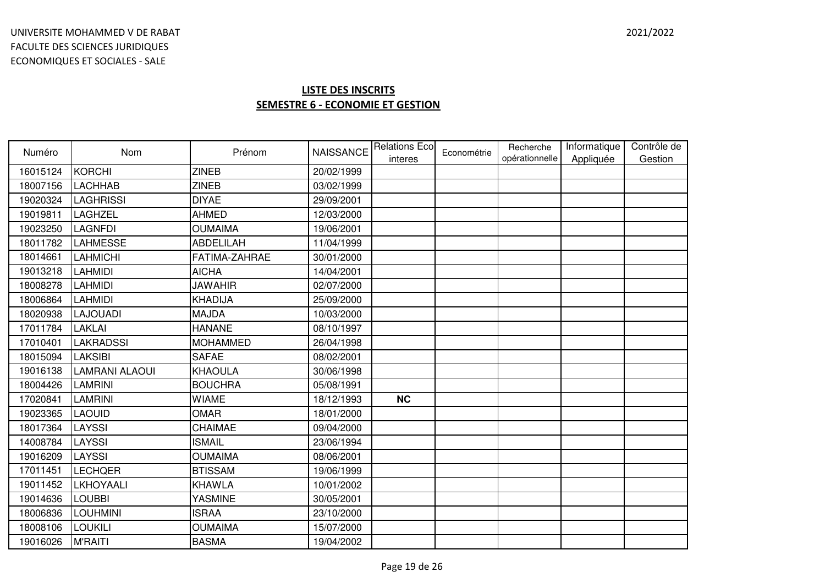| Numéro   | <b>Nom</b>       | Prénom           | <b>NAISSANCE</b> | <b>Relations Eco</b> | Econométrie | Recherche<br>opérationnelle | Informatique<br>Appliquée | Contrôle de<br>Gestion |
|----------|------------------|------------------|------------------|----------------------|-------------|-----------------------------|---------------------------|------------------------|
| 16015124 | KORCHI           | <b>ZINEB</b>     | 20/02/1999       | interes              |             |                             |                           |                        |
| 18007156 | <b>LACHHAB</b>   | <b>ZINEB</b>     | 03/02/1999       |                      |             |                             |                           |                        |
| 19020324 | <b>LAGHRISSI</b> | <b>DIYAE</b>     | 29/09/2001       |                      |             |                             |                           |                        |
| 19019811 | LAGHZEL          | <b>AHMED</b>     | 12/03/2000       |                      |             |                             |                           |                        |
| 19023250 | LAGNFDI          | <b>OUMAIMA</b>   | 19/06/2001       |                      |             |                             |                           |                        |
| 18011782 | <b>LAHMESSE</b>  | <b>ABDELILAH</b> | 11/04/1999       |                      |             |                             |                           |                        |
| 18014661 | <b>LAHMICHI</b>  | FATIMA-ZAHRAE    | 30/01/2000       |                      |             |                             |                           |                        |
| 19013218 | <b>LAHMIDI</b>   | <b>AICHA</b>     | 14/04/2001       |                      |             |                             |                           |                        |
| 18008278 | <b>LAHMIDI</b>   | <b>JAWAHIR</b>   | 02/07/2000       |                      |             |                             |                           |                        |
| 18006864 | LAHMIDI          | KHADIJA          | 25/09/2000       |                      |             |                             |                           |                        |
| 18020938 | <b>LAJOUADI</b>  | <b>MAJDA</b>     | 10/03/2000       |                      |             |                             |                           |                        |
| 17011784 | <b>LAKLAI</b>    | <b>HANANE</b>    | 08/10/1997       |                      |             |                             |                           |                        |
| 17010401 | <b>LAKRADSSI</b> | <b>MOHAMMED</b>  | 26/04/1998       |                      |             |                             |                           |                        |
| 18015094 | <b>LAKSIBI</b>   | <b>SAFAE</b>     | 08/02/2001       |                      |             |                             |                           |                        |
| 19016138 | LAMRANI ALAOUI   | <b>KHAOULA</b>   | 30/06/1998       |                      |             |                             |                           |                        |
| 18004426 | LAMRINI          | <b>BOUCHRA</b>   | 05/08/1991       |                      |             |                             |                           |                        |
| 17020841 | LAMRINI          | <b>WIAME</b>     | 18/12/1993       | <b>NC</b>            |             |                             |                           |                        |
| 19023365 | <b>LAOUID</b>    | <b>OMAR</b>      | 18/01/2000       |                      |             |                             |                           |                        |
| 18017364 | LAYSSI           | CHAIMAE          | 09/04/2000       |                      |             |                             |                           |                        |
| 14008784 | LAYSSI           | <b>ISMAIL</b>    | 23/06/1994       |                      |             |                             |                           |                        |
| 19016209 | LAYSSI           | <b>OUMAIMA</b>   | 08/06/2001       |                      |             |                             |                           |                        |
| 17011451 | <b>LECHQER</b>   | <b>BTISSAM</b>   | 19/06/1999       |                      |             |                             |                           |                        |
| 19011452 | LKHOYAALI        | <b>KHAWLA</b>    | 10/01/2002       |                      |             |                             |                           |                        |
| 19014636 | <b>LOUBBI</b>    | <b>YASMINE</b>   | 30/05/2001       |                      |             |                             |                           |                        |
| 18006836 | <b>LOUHMINI</b>  | <b>ISRAA</b>     | 23/10/2000       |                      |             |                             |                           |                        |
| 18008106 | LOUKILI          | <b>OUMAIMA</b>   | 15/07/2000       |                      |             |                             |                           |                        |
| 19016026 | <b>M'RAITI</b>   | <b>BASMA</b>     | 19/04/2002       |                      |             |                             |                           |                        |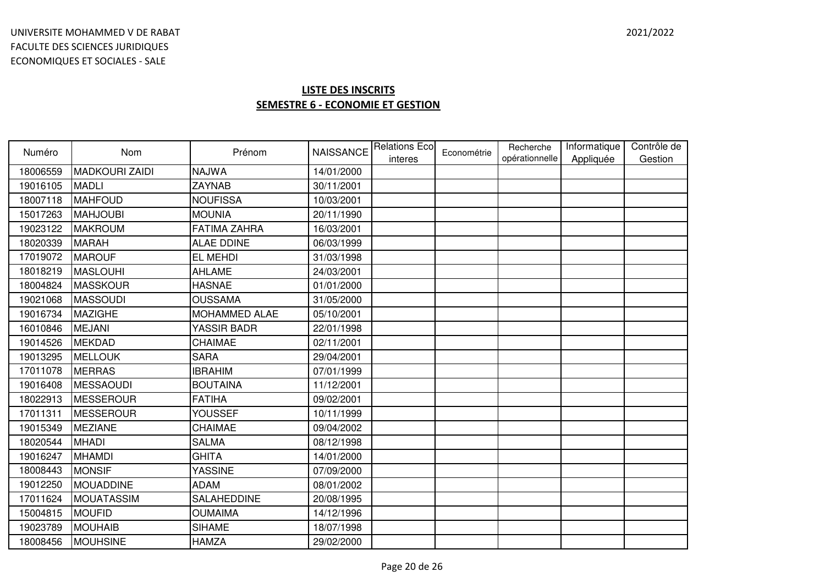| Numéro   | <b>Nom</b>            | Prénom              |            | NAISSANCE Relations Eco<br>interes | Econométrie | Recherche<br>opérationnelle | Informatique<br>Appliquée | Contrôle de<br>Gestion |
|----------|-----------------------|---------------------|------------|------------------------------------|-------------|-----------------------------|---------------------------|------------------------|
| 18006559 | <b>MADKOURI ZAIDI</b> | <b>NAJWA</b>        | 14/01/2000 |                                    |             |                             |                           |                        |
| 19016105 | <b>MADLI</b>          | <b>ZAYNAB</b>       | 30/11/2001 |                                    |             |                             |                           |                        |
| 18007118 | <b>MAHFOUD</b>        | <b>NOUFISSA</b>     | 10/03/2001 |                                    |             |                             |                           |                        |
| 15017263 | <b>MAHJOUBI</b>       | <b>MOUNIA</b>       | 20/11/1990 |                                    |             |                             |                           |                        |
| 19023122 | <b>MAKROUM</b>        | <b>FATIMA ZAHRA</b> | 16/03/2001 |                                    |             |                             |                           |                        |
| 18020339 | <b>MARAH</b>          | <b>ALAE DDINE</b>   | 06/03/1999 |                                    |             |                             |                           |                        |
| 17019072 | <b>MAROUF</b>         | EL MEHDI            | 31/03/1998 |                                    |             |                             |                           |                        |
| 18018219 | <b>MASLOUHI</b>       | <b>AHLAME</b>       | 24/03/2001 |                                    |             |                             |                           |                        |
| 18004824 | MASSKOUR              | <b>HASNAE</b>       | 01/01/2000 |                                    |             |                             |                           |                        |
| 19021068 | <b>MASSOUDI</b>       | <b>OUSSAMA</b>      | 31/05/2000 |                                    |             |                             |                           |                        |
| 19016734 | <b>MAZIGHE</b>        | MOHAMMED ALAE       | 05/10/2001 |                                    |             |                             |                           |                        |
| 16010846 | MEJANI                | YASSIR BADR         | 22/01/1998 |                                    |             |                             |                           |                        |
| 19014526 | <b>MEKDAD</b>         | CHAIMAE             | 02/11/2001 |                                    |             |                             |                           |                        |
| 19013295 | <b>MELLOUK</b>        | <b>SARA</b>         | 29/04/2001 |                                    |             |                             |                           |                        |
| 17011078 | <b>MERRAS</b>         | <b>IBRAHIM</b>      | 07/01/1999 |                                    |             |                             |                           |                        |
| 19016408 | MESSAOUDI             | <b>BOUTAINA</b>     | 11/12/2001 |                                    |             |                             |                           |                        |
| 18022913 | <b>MESSEROUR</b>      | <b>FATIHA</b>       | 09/02/2001 |                                    |             |                             |                           |                        |
| 17011311 | <b>MESSEROUR</b>      | <b>YOUSSEF</b>      | 10/11/1999 |                                    |             |                             |                           |                        |
| 19015349 | <b>MEZIANE</b>        | CHAIMAE             | 09/04/2002 |                                    |             |                             |                           |                        |
| 18020544 | <b>MHADI</b>          | <b>SALMA</b>        | 08/12/1998 |                                    |             |                             |                           |                        |
| 19016247 | <b>MHAMDI</b>         | <b>GHITA</b>        | 14/01/2000 |                                    |             |                             |                           |                        |
| 18008443 | <b>MONSIF</b>         | <b>YASSINE</b>      | 07/09/2000 |                                    |             |                             |                           |                        |
| 19012250 | <b>MOUADDINE</b>      | <b>ADAM</b>         | 08/01/2002 |                                    |             |                             |                           |                        |
| 17011624 | <b>MOUATASSIM</b>     | SALAHEDDINE         | 20/08/1995 |                                    |             |                             |                           |                        |
| 15004815 | <b>MOUFID</b>         | <b>OUMAIMA</b>      | 14/12/1996 |                                    |             |                             |                           |                        |
| 19023789 | MOUHAIB               | <b>SIHAME</b>       | 18/07/1998 |                                    |             |                             |                           |                        |
| 18008456 | <b>MOUHSINE</b>       | <b>HAMZA</b>        | 29/02/2000 |                                    |             |                             |                           |                        |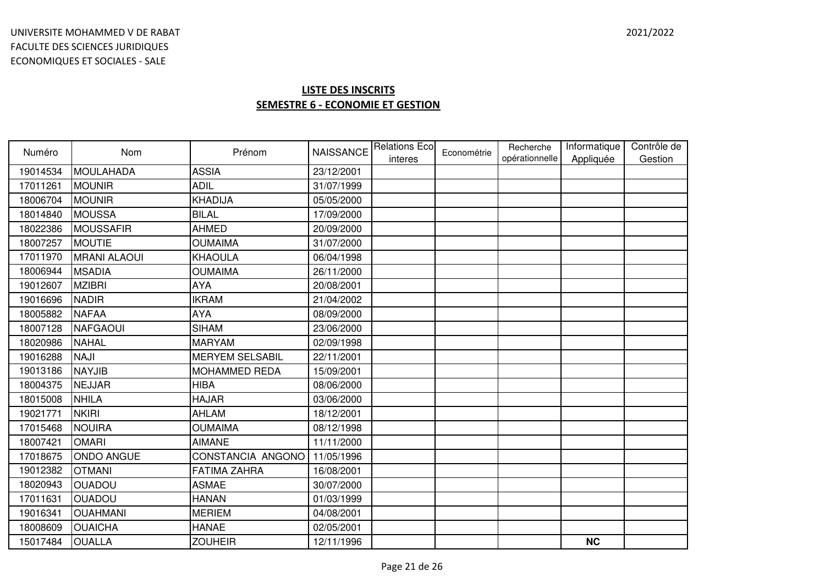| Numéro   | Nom                 | Prénom                 | <b>NAISSANCE</b> | <b>Relations Eco</b><br>interes | Econométrie | Recherche<br>opérationnelle | Informatique<br>Appliquée | Contrôle de<br>Gestion |
|----------|---------------------|------------------------|------------------|---------------------------------|-------------|-----------------------------|---------------------------|------------------------|
| 19014534 | <b>MOULAHADA</b>    | <b>ASSIA</b>           | 23/12/2001       |                                 |             |                             |                           |                        |
| 17011261 | <b>MOUNIR</b>       | <b>ADIL</b>            | 31/07/1999       |                                 |             |                             |                           |                        |
| 18006704 | <b>MOUNIR</b>       | <b>KHADIJA</b>         | 05/05/2000       |                                 |             |                             |                           |                        |
| 18014840 | <b>MOUSSA</b>       | <b>BILAL</b>           | 17/09/2000       |                                 |             |                             |                           |                        |
| 18022386 | <b>MOUSSAFIR</b>    | <b>AHMED</b>           | 20/09/2000       |                                 |             |                             |                           |                        |
| 18007257 | <b>MOUTIE</b>       | <b>OUMAIMA</b>         | 31/07/2000       |                                 |             |                             |                           |                        |
| 17011970 | <b>MRANI ALAOUI</b> | <b>KHAOULA</b>         | 06/04/1998       |                                 |             |                             |                           |                        |
| 18006944 | <b>MSADIA</b>       | <b>OUMAIMA</b>         | 26/11/2000       |                                 |             |                             |                           |                        |
| 19012607 | <b>MZIBRI</b>       | <b>AYA</b>             | 20/08/2001       |                                 |             |                             |                           |                        |
| 19016696 | <b>NADIR</b>        | <b>IKRAM</b>           | 21/04/2002       |                                 |             |                             |                           |                        |
| 18005882 | <b>NAFAA</b>        | <b>AYA</b>             | 08/09/2000       |                                 |             |                             |                           |                        |
| 18007128 | <b>NAFGAOUI</b>     | <b>SIHAM</b>           | 23/06/2000       |                                 |             |                             |                           |                        |
| 18020986 | <b>NAHAL</b>        | <b>MARYAM</b>          | 02/09/1998       |                                 |             |                             |                           |                        |
| 19016288 | <b>NAJI</b>         | <b>MERYEM SELSABIL</b> | 22/11/2001       |                                 |             |                             |                           |                        |
| 19013186 | <b>NAYJIB</b>       | <b>MOHAMMED REDA</b>   | 15/09/2001       |                                 |             |                             |                           |                        |
| 18004375 | <b>NEJJAR</b>       | <b>HIBA</b>            | 08/06/2000       |                                 |             |                             |                           |                        |
| 18015008 | <b>NHILA</b>        | <b>HAJAR</b>           | 03/06/2000       |                                 |             |                             |                           |                        |
| 19021771 | <b>NKIRI</b>        | <b>AHLAM</b>           | 18/12/2001       |                                 |             |                             |                           |                        |
| 17015468 | <b>NOUIRA</b>       | <b>OUMAIMA</b>         | 08/12/1998       |                                 |             |                             |                           |                        |
| 18007421 | <b>OMARI</b>        | <b>AIMANE</b>          | 11/11/2000       |                                 |             |                             |                           |                        |
| 17018675 | <b>ONDO ANGUE</b>   | CONSTANCIA ANGONO      | 11/05/1996       |                                 |             |                             |                           |                        |
| 19012382 | <b>OTMANI</b>       | <b>FATIMA ZAHRA</b>    | 16/08/2001       |                                 |             |                             |                           |                        |
| 18020943 | <b>OUADOU</b>       | <b>ASMAE</b>           | 30/07/2000       |                                 |             |                             |                           |                        |
| 17011631 | <b>OUADOU</b>       | <b>HANAN</b>           | 01/03/1999       |                                 |             |                             |                           |                        |
| 19016341 | <b>OUAHMANI</b>     | <b>MERIEM</b>          | 04/08/2001       |                                 |             |                             |                           |                        |
| 18008609 | <b>OUAICHA</b>      | <b>HANAE</b>           | 02/05/2001       |                                 |             |                             |                           |                        |
| 15017484 | <b>OUALLA</b>       | <b>ZOUHEIR</b>         | 12/11/1996       |                                 |             |                             | <b>NC</b>                 |                        |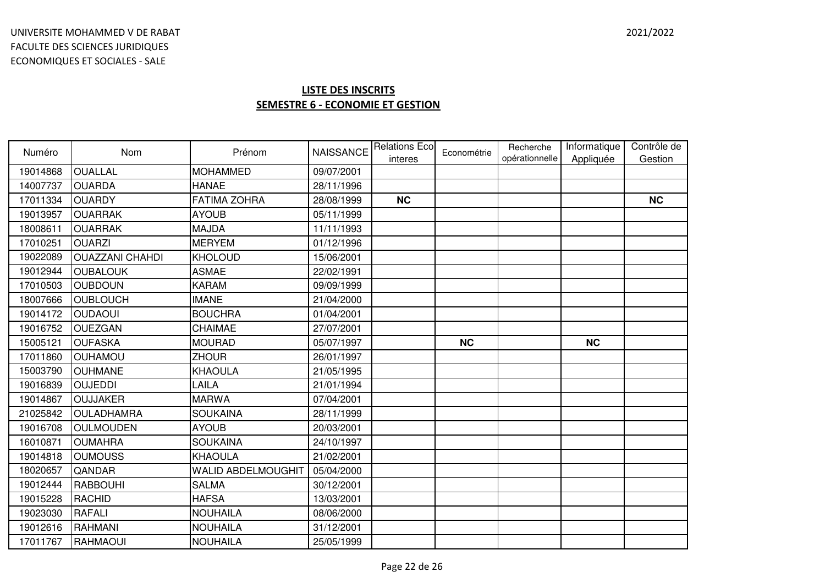| Numéro   | <b>Nom</b>             | Prénom                    | <b>NAISSANCE</b> | <b>Relations Eco</b><br>interes | Econométrie | Recherche<br>opérationnelle | Informatique<br>Appliquée | Contrôle de<br>Gestion |
|----------|------------------------|---------------------------|------------------|---------------------------------|-------------|-----------------------------|---------------------------|------------------------|
| 19014868 | <b>OUALLAL</b>         | <b>MOHAMMED</b>           | 09/07/2001       |                                 |             |                             |                           |                        |
| 14007737 | <b>OUARDA</b>          | <b>HANAE</b>              | 28/11/1996       |                                 |             |                             |                           |                        |
| 17011334 | <b>OUARDY</b>          | <b>FATIMA ZOHRA</b>       | 28/08/1999       | <b>NC</b>                       |             |                             |                           | <b>NC</b>              |
| 19013957 | <b>OUARRAK</b>         | <b>AYOUB</b>              | 05/11/1999       |                                 |             |                             |                           |                        |
| 18008611 | <b>OUARRAK</b>         | <b>MAJDA</b>              | 11/11/1993       |                                 |             |                             |                           |                        |
| 17010251 | <b>OUARZI</b>          | <b>MERYEM</b>             | 01/12/1996       |                                 |             |                             |                           |                        |
| 19022089 | <b>OUAZZANI CHAHDI</b> | <b>KHOLOUD</b>            | 15/06/2001       |                                 |             |                             |                           |                        |
| 19012944 | <b>OUBALOUK</b>        | <b>ASMAE</b>              | 22/02/1991       |                                 |             |                             |                           |                        |
| 17010503 | <b>OUBDOUN</b>         | <b>KARAM</b>              | 09/09/1999       |                                 |             |                             |                           |                        |
| 18007666 | <b>OUBLOUCH</b>        | <b>IMANE</b>              | 21/04/2000       |                                 |             |                             |                           |                        |
| 19014172 | <b>OUDAOUI</b>         | <b>BOUCHRA</b>            | 01/04/2001       |                                 |             |                             |                           |                        |
| 19016752 | <b>OUEZGAN</b>         | CHAIMAE                   | 27/07/2001       |                                 |             |                             |                           |                        |
| 15005121 | <b>OUFASKA</b>         | <b>MOURAD</b>             | 05/07/1997       |                                 | <b>NC</b>   |                             | <b>NC</b>                 |                        |
| 17011860 | <b>OUHAMOU</b>         | <b>ZHOUR</b>              | 26/01/1997       |                                 |             |                             |                           |                        |
| 15003790 | <b>OUHMANE</b>         | <b>KHAOULA</b>            | 21/05/1995       |                                 |             |                             |                           |                        |
| 19016839 | <b>OUJEDDI</b>         | LAILA                     | 21/01/1994       |                                 |             |                             |                           |                        |
| 19014867 | <b>OUJJAKER</b>        | <b>MARWA</b>              | 07/04/2001       |                                 |             |                             |                           |                        |
| 21025842 | <b>OULADHAMRA</b>      | <b>SOUKAINA</b>           | 28/11/1999       |                                 |             |                             |                           |                        |
| 19016708 | <b>OULMOUDEN</b>       | <b>AYOUB</b>              | 20/03/2001       |                                 |             |                             |                           |                        |
| 16010871 | <b>OUMAHRA</b>         | <b>SOUKAINA</b>           | 24/10/1997       |                                 |             |                             |                           |                        |
| 19014818 | <b>OUMOUSS</b>         | <b>KHAOULA</b>            | 21/02/2001       |                                 |             |                             |                           |                        |
| 18020657 | QANDAR                 | <b>WALID ABDELMOUGHIT</b> | 05/04/2000       |                                 |             |                             |                           |                        |
| 19012444 | <b>RABBOUHI</b>        | <b>SALMA</b>              | 30/12/2001       |                                 |             |                             |                           |                        |
| 19015228 | <b>RACHID</b>          | <b>HAFSA</b>              | 13/03/2001       |                                 |             |                             |                           |                        |
| 19023030 | <b>RAFALI</b>          | <b>NOUHAILA</b>           | 08/06/2000       |                                 |             |                             |                           |                        |
| 19012616 | <b>RAHMANI</b>         | <b>NOUHAILA</b>           | 31/12/2001       |                                 |             |                             |                           |                        |
| 17011767 | <b>RAHMAOUI</b>        | <b>NOUHAILA</b>           | 25/05/1999       |                                 |             |                             |                           |                        |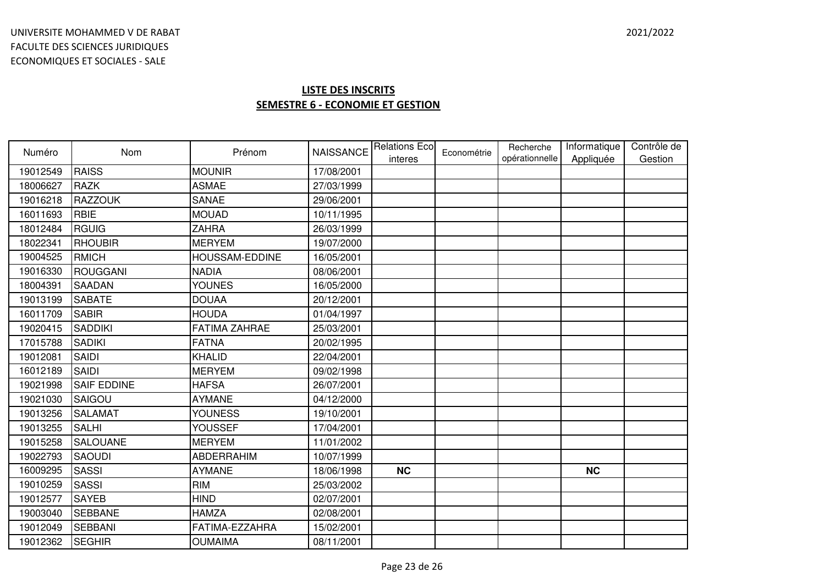| Numéro   | Nom                | Prénom                | <b>NAISSANCE</b> | <b>Relations Eco</b> | Econométrie | Recherche      | Informatique | Contrôle de |
|----------|--------------------|-----------------------|------------------|----------------------|-------------|----------------|--------------|-------------|
| 19012549 | <b>RAISS</b>       | <b>MOUNIR</b>         | 17/08/2001       | interes              |             | opérationnelle | Appliquée    | Gestion     |
| 18006627 | <b>RAZK</b>        | <b>ASMAE</b>          | 27/03/1999       |                      |             |                |              |             |
| 19016218 | <b>RAZZOUK</b>     | <b>SANAE</b>          | 29/06/2001       |                      |             |                |              |             |
| 16011693 | <b>RBIE</b>        | <b>MOUAD</b>          | 10/11/1995       |                      |             |                |              |             |
| 18012484 | <b>RGUIG</b>       | <b>ZAHRA</b>          | 26/03/1999       |                      |             |                |              |             |
| 18022341 | <b>RHOUBIR</b>     | <b>MERYEM</b>         | 19/07/2000       |                      |             |                |              |             |
| 19004525 | <b>RMICH</b>       | <b>HOUSSAM-EDDINE</b> | 16/05/2001       |                      |             |                |              |             |
| 19016330 | <b>ROUGGANI</b>    | <b>NADIA</b>          | 08/06/2001       |                      |             |                |              |             |
| 18004391 | <b>SAADAN</b>      | <b>YOUNES</b>         | 16/05/2000       |                      |             |                |              |             |
| 19013199 | <b>SABATE</b>      | <b>DOUAA</b>          | 20/12/2001       |                      |             |                |              |             |
| 16011709 | <b>SABIR</b>       | <b>HOUDA</b>          | 01/04/1997       |                      |             |                |              |             |
| 19020415 | <b>SADDIKI</b>     | <b>FATIMA ZAHRAE</b>  | 25/03/2001       |                      |             |                |              |             |
| 17015788 | <b>SADIKI</b>      | <b>FATNA</b>          | 20/02/1995       |                      |             |                |              |             |
| 19012081 | <b>SAIDI</b>       | <b>KHALID</b>         | 22/04/2001       |                      |             |                |              |             |
| 16012189 | <b>SAIDI</b>       | <b>MERYEM</b>         |                  |                      |             |                |              |             |
| 19021998 | <b>SAIF EDDINE</b> |                       | 09/02/1998       |                      |             |                |              |             |
|          |                    | <b>HAFSA</b>          | 26/07/2001       |                      |             |                |              |             |
| 19021030 | SAIGOU             | <b>AYMANE</b>         | 04/12/2000       |                      |             |                |              |             |
| 19013256 | <b>SALAMAT</b>     | <b>YOUNESS</b>        | 19/10/2001       |                      |             |                |              |             |
| 19013255 | <b>SALHI</b>       | <b>YOUSSEF</b>        | 17/04/2001       |                      |             |                |              |             |
| 19015258 | <b>SALOUANE</b>    | <b>MERYEM</b>         | 11/01/2002       |                      |             |                |              |             |
| 19022793 | <b>SAOUDI</b>      | <b>ABDERRAHIM</b>     | 10/07/1999       |                      |             |                |              |             |
| 16009295 | <b>SASSI</b>       | <b>AYMANE</b>         | 18/06/1998       | <b>NC</b>            |             |                | <b>NC</b>    |             |
| 19010259 | <b>SASSI</b>       | <b>RIM</b>            | 25/03/2002       |                      |             |                |              |             |
| 19012577 | <b>SAYEB</b>       | <b>HIND</b>           | 02/07/2001       |                      |             |                |              |             |
| 19003040 | <b>SEBBANE</b>     | <b>HAMZA</b>          | 02/08/2001       |                      |             |                |              |             |
| 19012049 | <b>SEBBANI</b>     | FATIMA-EZZAHRA        | 15/02/2001       |                      |             |                |              |             |
| 19012362 | <b>SEGHIR</b>      | <b>OUMAIMA</b>        | 08/11/2001       |                      |             |                |              |             |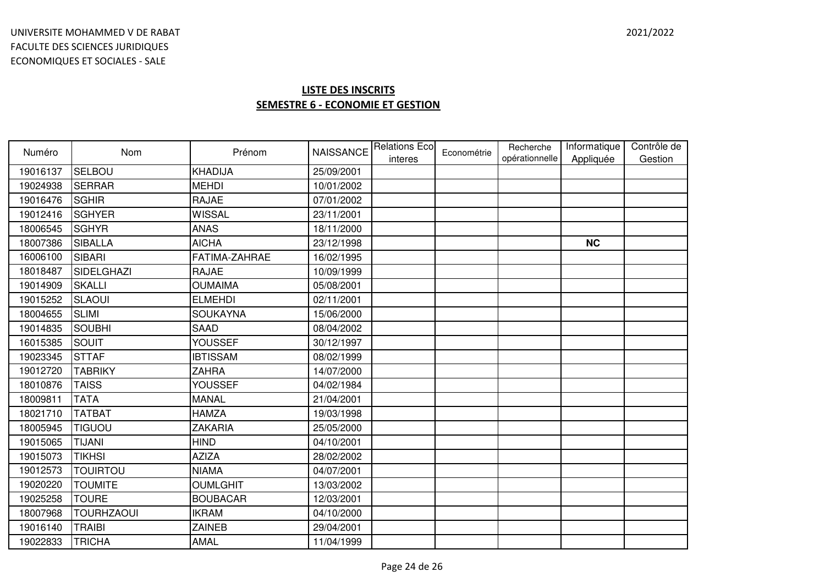| Numéro   | <b>Nom</b>        | Prénom          | <b>NAISSANCE</b> | <b>Relations Eco</b><br>interes | Econométrie | Recherche<br>opérationnelle | Informatique<br>Appliquée | Contrôle de<br>Gestion |
|----------|-------------------|-----------------|------------------|---------------------------------|-------------|-----------------------------|---------------------------|------------------------|
| 19016137 | SELBOU            | <b>KHADIJA</b>  | 25/09/2001       |                                 |             |                             |                           |                        |
| 19024938 | <b>SERRAR</b>     | <b>MEHDI</b>    | 10/01/2002       |                                 |             |                             |                           |                        |
| 19016476 | <b>SGHIR</b>      | <b>RAJAE</b>    | 07/01/2002       |                                 |             |                             |                           |                        |
| 19012416 | <b>SGHYER</b>     | <b>WISSAL</b>   | 23/11/2001       |                                 |             |                             |                           |                        |
| 18006545 | <b>SGHYR</b>      | <b>ANAS</b>     | 18/11/2000       |                                 |             |                             |                           |                        |
| 18007386 | <b>SIBALLA</b>    | <b>AICHA</b>    | 23/12/1998       |                                 |             |                             | <b>NC</b>                 |                        |
| 16006100 | <b>SIBARI</b>     | FATIMA-ZAHRAE   | 16/02/1995       |                                 |             |                             |                           |                        |
| 18018487 | <b>SIDELGHAZI</b> | <b>RAJAE</b>    | 10/09/1999       |                                 |             |                             |                           |                        |
| 19014909 | <b>SKALLI</b>     | <b>OUMAIMA</b>  | 05/08/2001       |                                 |             |                             |                           |                        |
| 19015252 | <b>SLAOUI</b>     | <b>ELMEHDI</b>  | 02/11/2001       |                                 |             |                             |                           |                        |
| 18004655 | <b>SLIMI</b>      | <b>SOUKAYNA</b> | 15/06/2000       |                                 |             |                             |                           |                        |
| 19014835 | <b>SOUBHI</b>     | <b>SAAD</b>     | 08/04/2002       |                                 |             |                             |                           |                        |
| 16015385 | SOUIT             | <b>YOUSSEF</b>  | 30/12/1997       |                                 |             |                             |                           |                        |
| 19023345 | <b>STTAF</b>      | <b>IBTISSAM</b> | 08/02/1999       |                                 |             |                             |                           |                        |
| 19012720 | <b>TABRIKY</b>    | <b>ZAHRA</b>    | 14/07/2000       |                                 |             |                             |                           |                        |
| 18010876 | <b>TAISS</b>      | <b>YOUSSEF</b>  | 04/02/1984       |                                 |             |                             |                           |                        |
| 18009811 | <b>TATA</b>       | <b>MANAL</b>    | 21/04/2001       |                                 |             |                             |                           |                        |
| 18021710 | <b>TATBAT</b>     | <b>HAMZA</b>    | 19/03/1998       |                                 |             |                             |                           |                        |
| 18005945 | <b>TIGUOU</b>     | <b>ZAKARIA</b>  | 25/05/2000       |                                 |             |                             |                           |                        |
| 19015065 | <b>TIJANI</b>     | <b>HIND</b>     | 04/10/2001       |                                 |             |                             |                           |                        |
| 19015073 | <b>TIKHSI</b>     | <b>AZIZA</b>    | 28/02/2002       |                                 |             |                             |                           |                        |
| 19012573 | <b>TOUIRTOU</b>   | <b>NIAMA</b>    | 04/07/2001       |                                 |             |                             |                           |                        |
| 19020220 | <b>TOUMITE</b>    | <b>OUMLGHIT</b> | 13/03/2002       |                                 |             |                             |                           |                        |
| 19025258 | <b>TOURE</b>      | <b>BOUBACAR</b> | 12/03/2001       |                                 |             |                             |                           |                        |
| 18007968 | <b>TOURHZAOUI</b> | <b>IKRAM</b>    | 04/10/2000       |                                 |             |                             |                           |                        |
| 19016140 | <b>TRAIBI</b>     | <b>ZAINEB</b>   | 29/04/2001       |                                 |             |                             |                           |                        |
| 19022833 | <b>TRICHA</b>     | <b>AMAL</b>     | 11/04/1999       |                                 |             |                             |                           |                        |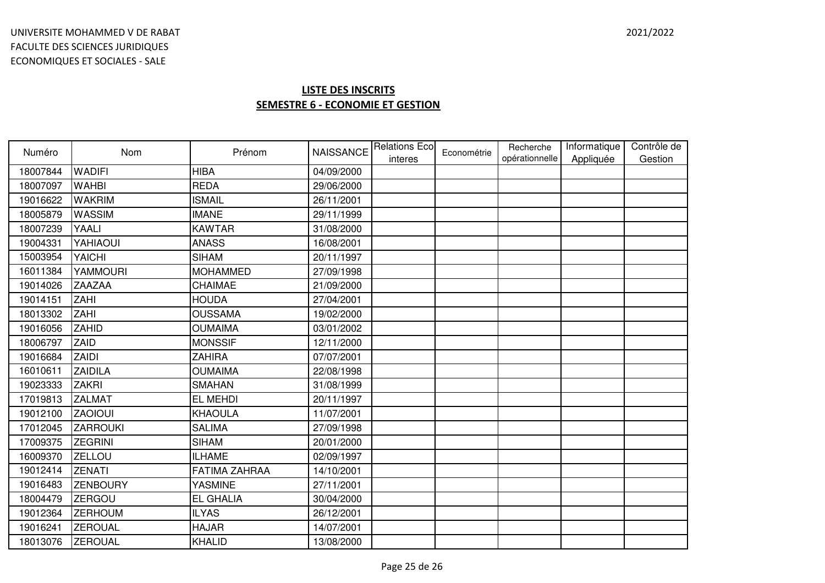| Numéro   | <b>Nom</b>      | Prénom               | <b>NAISSANCE</b> | <b>Relations Eco</b><br>interes | Econométrie | Recherche<br>opérationnelle | Informatique<br>Appliquée | Contrôle de<br>Gestion |
|----------|-----------------|----------------------|------------------|---------------------------------|-------------|-----------------------------|---------------------------|------------------------|
| 18007844 | <b>WADIFI</b>   | <b>HIBA</b>          | 04/09/2000       |                                 |             |                             |                           |                        |
| 18007097 | <b>WAHBI</b>    | <b>REDA</b>          | 29/06/2000       |                                 |             |                             |                           |                        |
| 19016622 | <b>WAKRIM</b>   | <b>ISMAIL</b>        | 26/11/2001       |                                 |             |                             |                           |                        |
| 18005879 | <b>WASSIM</b>   | <b>IMANE</b>         | 29/11/1999       |                                 |             |                             |                           |                        |
| 18007239 | YAALI           | <b>KAWTAR</b>        | 31/08/2000       |                                 |             |                             |                           |                        |
| 19004331 | YAHIAOUI        | <b>ANASS</b>         | 16/08/2001       |                                 |             |                             |                           |                        |
| 15003954 | <b>YAICHI</b>   | <b>SIHAM</b>         | 20/11/1997       |                                 |             |                             |                           |                        |
| 16011384 | YAMMOURI        | <b>MOHAMMED</b>      | 27/09/1998       |                                 |             |                             |                           |                        |
| 19014026 | <b>ZAAZAA</b>   | CHAIMAE              | 21/09/2000       |                                 |             |                             |                           |                        |
| 19014151 | ZAHI            | <b>HOUDA</b>         | 27/04/2001       |                                 |             |                             |                           |                        |
| 18013302 | <b>ZAHI</b>     | <b>OUSSAMA</b>       | 19/02/2000       |                                 |             |                             |                           |                        |
| 19016056 | <b>ZAHID</b>    | <b>OUMAIMA</b>       | 03/01/2002       |                                 |             |                             |                           |                        |
| 18006797 | <b>ZAID</b>     | <b>MONSSIF</b>       | 12/11/2000       |                                 |             |                             |                           |                        |
| 19016684 | <b>ZAIDI</b>    | <b>ZAHIRA</b>        | 07/07/2001       |                                 |             |                             |                           |                        |
| 16010611 | ZAIDILA         | <b>OUMAIMA</b>       | 22/08/1998       |                                 |             |                             |                           |                        |
| 19023333 | <b>ZAKRI</b>    | <b>SMAHAN</b>        | 31/08/1999       |                                 |             |                             |                           |                        |
| 17019813 | <b>ZALMAT</b>   | EL MEHDI             | 20/11/1997       |                                 |             |                             |                           |                        |
| 19012100 | <b>ZAOIOUI</b>  | <b>KHAOULA</b>       | 11/07/2001       |                                 |             |                             |                           |                        |
| 17012045 | <b>ZARROUKI</b> | <b>SALIMA</b>        | 27/09/1998       |                                 |             |                             |                           |                        |
| 17009375 | <b>ZEGRINI</b>  | <b>SIHAM</b>         | 20/01/2000       |                                 |             |                             |                           |                        |
| 16009370 | ZELLOU          | <b>ILHAME</b>        | 02/09/1997       |                                 |             |                             |                           |                        |
| 19012414 | <b>ZENATI</b>   | <b>FATIMA ZAHRAA</b> | 14/10/2001       |                                 |             |                             |                           |                        |
| 19016483 | <b>ZENBOURY</b> | <b>YASMINE</b>       | 27/11/2001       |                                 |             |                             |                           |                        |
| 18004479 | <b>ZERGOU</b>   | <b>EL GHALIA</b>     | 30/04/2000       |                                 |             |                             |                           |                        |
| 19012364 | <b>ZERHOUM</b>  | <b>ILYAS</b>         | 26/12/2001       |                                 |             |                             |                           |                        |
| 19016241 | <b>ZEROUAL</b>  | <b>HAJAR</b>         | 14/07/2001       |                                 |             |                             |                           |                        |
| 18013076 | <b>ZEROUAL</b>  | <b>KHALID</b>        | 13/08/2000       |                                 |             |                             |                           |                        |